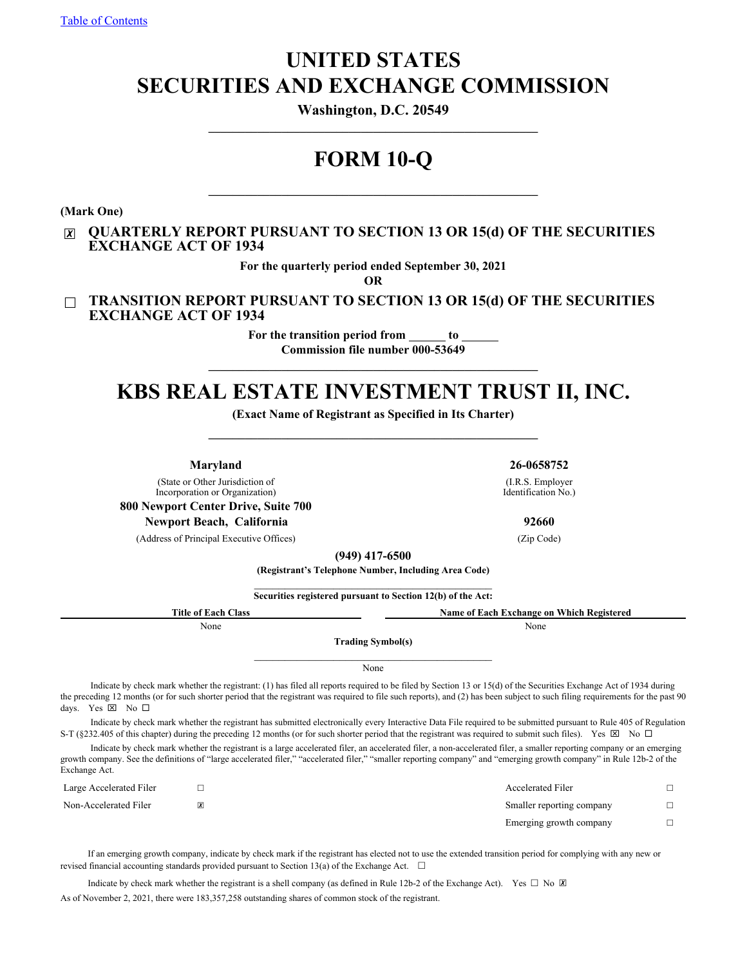# **UNITED STATES SECURITIES AND EXCHANGE COMMISSION**

**Washington, D.C. 20549**

# **FORM 10-Q**

**(Mark One)**

## ☒ **QUARTERLY REPORT PURSUANT TO SECTION 13 OR 15(d) OF THE SECURITIES EXCHANGE ACT OF 1934**

**For the quarterly period ended September 30, 2021**

**OR**

☐ **TRANSITION REPORT PURSUANT TO SECTION 13 OR 15(d) OF THE SECURITIES EXCHANGE ACT OF 1934**

> For the transition period from \_\_\_\_\_\_\_ to **Commission file number 000-53649**

# **KBS REAL ESTATE INVESTMENT TRUST II, INC.**

**\_\_\_\_\_\_\_\_\_\_\_\_\_\_\_\_\_\_\_\_\_\_\_\_\_\_\_\_\_\_\_\_\_\_\_\_\_\_\_\_\_\_\_\_\_\_\_\_\_\_\_\_\_\_**

**(Exact Name of Registrant as Specified in Its Charter)**  $\mathcal{L} = \{ \mathcal{L} \mathcal{L} \mathcal{L} \mathcal{L} \mathcal{L} \mathcal{L} \mathcal{L} \mathcal{L} \mathcal{L} \mathcal{L} \mathcal{L} \mathcal{L} \mathcal{L} \mathcal{L} \mathcal{L} \mathcal{L} \mathcal{L} \mathcal{L} \mathcal{L} \mathcal{L} \mathcal{L} \mathcal{L} \mathcal{L} \mathcal{L} \mathcal{L} \mathcal{L} \mathcal{L} \mathcal{L} \mathcal{L} \mathcal{L} \mathcal{L} \mathcal{L} \mathcal{L} \mathcal{L} \mathcal{L} \$ 

> (I.R.S. Employer Identification No.)

**Maryland 26-0658752**

(State or Other Jurisdiction of Incorporation or Organization)

**800 Newport Center Drive, Suite 700**

**Newport Beach, California 92660**

(Address of Principal Executive Offices) (Zip Code)

**(949) 417-6500**

**(Registrant's Telephone Number, Including Area Code)**  $\mathcal{L}_\text{max}$  and  $\mathcal{L}_\text{max}$  and  $\mathcal{L}_\text{max}$  and  $\mathcal{L}_\text{max}$ 

**Securities registered pursuant to Section 12(b) of the Act:**

| <b>Title of Each Class</b> | Name of Each Exchange on Which Registered |
|----------------------------|-------------------------------------------|
| None                       | None                                      |
|                            | <b>Trading Symbol(s)</b>                  |

None

Indicate by check mark whether the registrant: (1) has filed all reports required to be filed by Section 13 or 15(d) of the Securities Exchange Act of 1934 during the preceding 12 months (or for such shorter period that the registrant was required to file such reports), and (2) has been subject to such filing requirements for the past 90 days. Yes  $\boxtimes$  No  $\square$ 

Indicate by check mark whether the registrant has submitted electronically every Interactive Data File required to be submitted pursuant to Rule 405 of Regulation S-T (§232.405 of this chapter) during the preceding 12 months (or for such shorter period that the registrant was required to submit such files). Yes  $\boxtimes$  No  $\Box$ 

Indicate by check mark whether the registrant is a large accelerated filer, an accelerated filer, a non-accelerated filer, a smaller reporting company or an emerging growth company. See the definitions of "large accelerated filer," "accelerated filer," "smaller reporting company" and "emerging growth company" in Rule 12b-2 of the Exchange Act.

| Large Accelerated Filer | Accelerated Filer         |  |
|-------------------------|---------------------------|--|
| Non-Accelerated Filer   | Smaller reporting company |  |
|                         | Emerging growth company   |  |

If an emerging growth company, indicate by check mark if the registrant has elected not to use the extended transition period for complying with any new or revised financial accounting standards provided pursuant to Section 13(a) of the Exchange Act.  $\Box$ 

Indicate by check mark whether the registrant is a shell company (as defined in Rule 12b-2 of the Exchange Act). Yes  $\Box$  No  $\Box$ As of November 2, 2021, there were 183,357,258 outstanding shares of common stock of the registrant.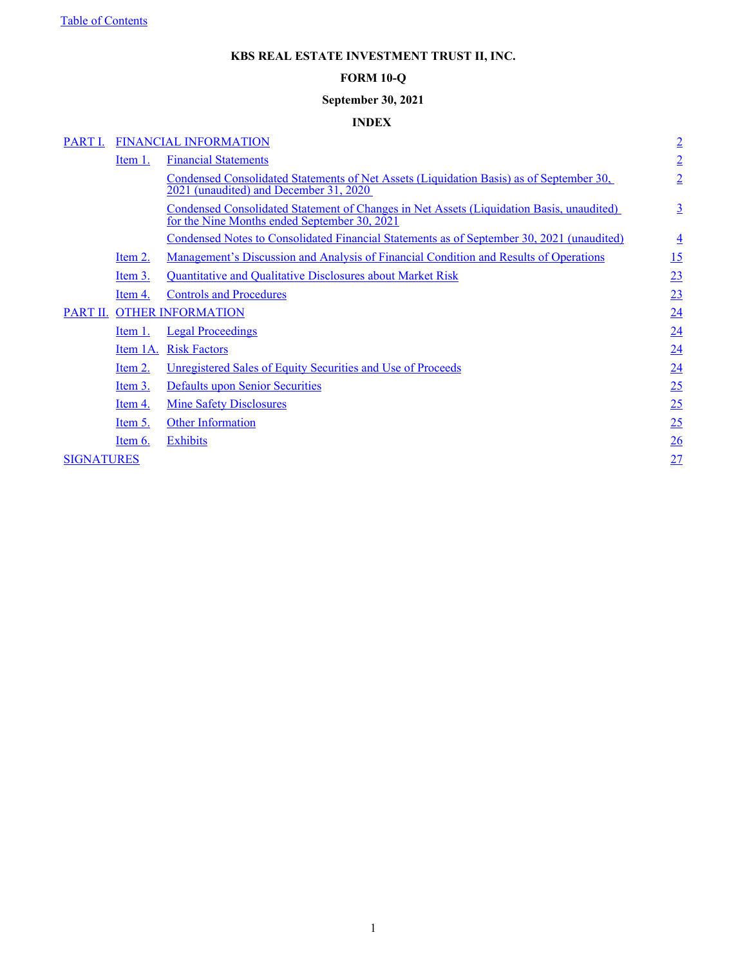<span id="page-1-0"></span>Table of Contents

## **KBS REAL ESTATE INVESTMENT TRUST II, INC.**

## **FORM 10-Q**

## **September 30, 2021**

## **INDEX**

| PART I.           |           | <b>FINANCIAL INFORMATION</b>                                                                                                                    | $\overline{2}$  |
|-------------------|-----------|-------------------------------------------------------------------------------------------------------------------------------------------------|-----------------|
|                   | Item 1.   | <b>Financial Statements</b>                                                                                                                     | $\overline{2}$  |
|                   |           | Condensed Consolidated Statements of Net Assets (Liquidation Basis) as of September 30,<br>2021 (unaudited) and December 31, 2020               | $\overline{2}$  |
|                   |           | <u>Condensed Consolidated Statement of Changes in Net Assets (Liquidation Basis, unaudited)</u><br>for the Nine Months ended September 30, 2021 | $\underline{3}$ |
|                   |           | Condensed Notes to Consolidated Financial Statements as of September 30, 2021 (unaudited)                                                       | $\overline{4}$  |
|                   | Item 2.   | Management's Discussion and Analysis of Financial Condition and Results of Operations                                                           | 15              |
|                   | Item 3.   | Quantitative and Qualitative Disclosures about Market Risk                                                                                      | 23              |
|                   | Item 4.   | <b>Controls and Procedures</b>                                                                                                                  | 23              |
| PART II.          |           | <b>OTHER INFORMATION</b>                                                                                                                        | 24              |
|                   | Item 1.   | <b>Legal Proceedings</b>                                                                                                                        | 24              |
|                   | Item 1A.  | <b>Risk Factors</b>                                                                                                                             | 24              |
|                   | Item 2.   | Unregistered Sales of Equity Securities and Use of Proceeds                                                                                     | 24              |
|                   | Item 3.   | <b>Defaults upon Senior Securities</b>                                                                                                          | 25              |
|                   | Item 4.   | <b>Mine Safety Disclosures</b>                                                                                                                  | 25              |
|                   | Item 5.   | <b>Other Information</b>                                                                                                                        | 25              |
|                   | Item $6.$ | <b>Exhibits</b>                                                                                                                                 | 26              |
| <b>SIGNATURES</b> |           |                                                                                                                                                 | 27              |
|                   |           |                                                                                                                                                 |                 |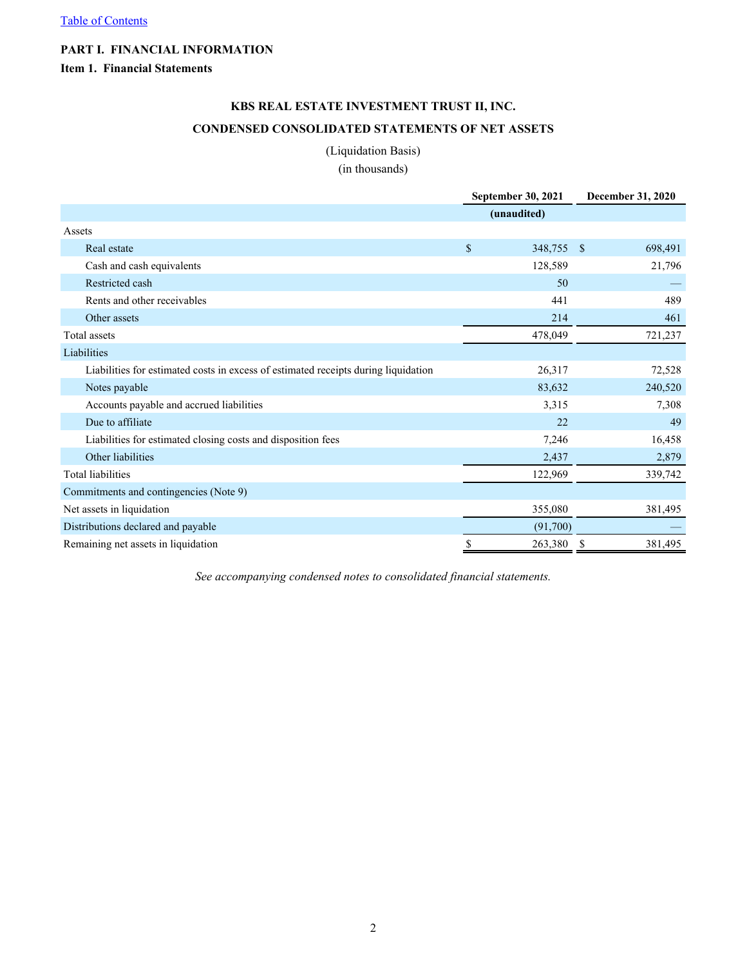## <span id="page-2-0"></span>**PART I. FINANCIAL INFORMATION**

## **Item 1. Financial Statements**

# **KBS REAL ESTATE INVESTMENT TRUST II, INC.**

## **CONDENSED CONSOLIDATED STATEMENTS OF NET ASSETS**

## (Liquidation Basis)

(in thousands)

|                                                                                    | September 30, 2021 | <b>December 31, 2020</b> |         |
|------------------------------------------------------------------------------------|--------------------|--------------------------|---------|
|                                                                                    | (unaudited)        |                          |         |
| Assets                                                                             |                    |                          |         |
| Real estate                                                                        | \$<br>348,755      | $\mathbf{\hat{s}}$       | 698,491 |
| Cash and cash equivalents                                                          | 128,589            |                          | 21,796  |
| Restricted cash                                                                    | 50                 |                          |         |
| Rents and other receivables                                                        | 441                |                          | 489     |
| Other assets                                                                       | 214                |                          | 461     |
| Total assets                                                                       | 478,049            |                          | 721,237 |
| Liabilities                                                                        |                    |                          |         |
| Liabilities for estimated costs in excess of estimated receipts during liquidation | 26,317             |                          | 72,528  |
| Notes payable                                                                      | 83,632             |                          | 240,520 |
| Accounts payable and accrued liabilities                                           | 3,315              |                          | 7,308   |
| Due to affiliate                                                                   | 22                 |                          | 49      |
| Liabilities for estimated closing costs and disposition fees                       | 7,246              |                          | 16,458  |
| Other liabilities                                                                  | 2,437              |                          | 2,879   |
| <b>Total liabilities</b>                                                           | 122,969            |                          | 339,742 |
| Commitments and contingencies (Note 9)                                             |                    |                          |         |
| Net assets in liquidation                                                          | 355,080            |                          | 381,495 |
| Distributions declared and payable                                                 | (91,700)           |                          |         |
| Remaining net assets in liquidation                                                | \$<br>263,380      | S                        | 381,495 |

*See accompanying condensed notes to consolidated financial statements.*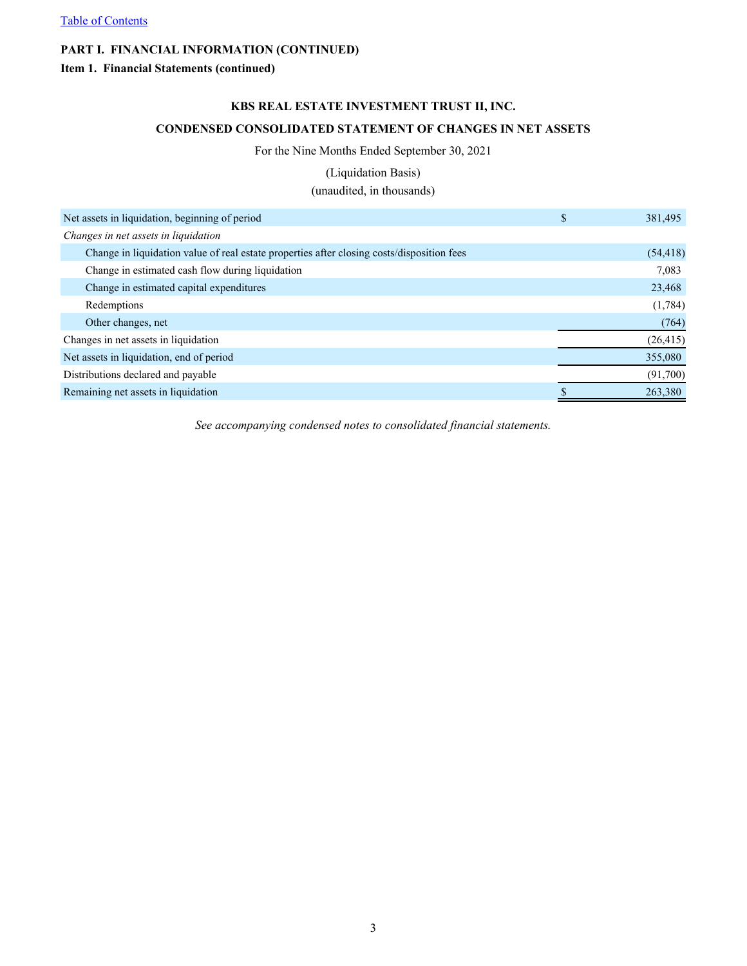## <span id="page-3-0"></span>**Item 1. Financial Statements (continued)**

## **KBS REAL ESTATE INVESTMENT TRUST II, INC.**

## **CONDENSED CONSOLIDATED STATEMENT OF CHANGES IN NET ASSETS**

## For the Nine Months Ended September 30, 2021

## (Liquidation Basis)

(unaudited, in thousands)

| Net assets in liquidation, beginning of period                                             | \$<br>381,495 |
|--------------------------------------------------------------------------------------------|---------------|
| Changes in net assets in liquidation                                                       |               |
| Change in liquidation value of real estate properties after closing costs/disposition fees | (54, 418)     |
| Change in estimated cash flow during liquidation                                           | 7,083         |
| Change in estimated capital expenditures                                                   | 23,468        |
| Redemptions                                                                                | (1,784)       |
| Other changes, net                                                                         | (764)         |
| Changes in net assets in liquidation                                                       | (26, 415)     |
| Net assets in liquidation, end of period                                                   | 355,080       |
| Distributions declared and payable                                                         | (91,700)      |
| Remaining net assets in liquidation                                                        | 263,380       |

*See accompanying condensed notes to consolidated financial statements.*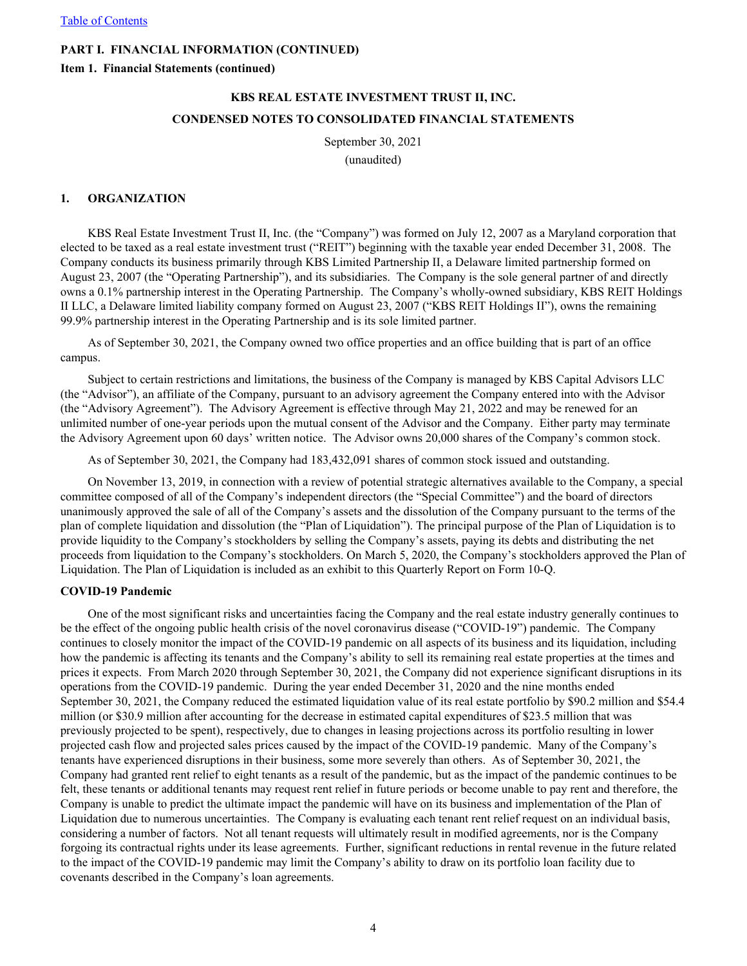<span id="page-4-0"></span>**Item 1. Financial Statements (continued)**

## **KBS REAL ESTATE INVESTMENT TRUST II, INC. CONDENSED NOTES TO CONSOLIDATED FINANCIAL STATEMENTS**

September 30, 2021 (unaudited)

#### **1. ORGANIZATION**

KBS Real Estate Investment Trust II, Inc. (the "Company") was formed on July 12, 2007 as a Maryland corporation that elected to be taxed as a real estate investment trust ("REIT") beginning with the taxable year ended December 31, 2008. The Company conducts its business primarily through KBS Limited Partnership II, a Delaware limited partnership formed on August 23, 2007 (the "Operating Partnership"), and its subsidiaries. The Company is the sole general partner of and directly owns a 0.1% partnership interest in the Operating Partnership. The Company's wholly-owned subsidiary, KBS REIT Holdings II LLC, a Delaware limited liability company formed on August 23, 2007 ("KBS REIT Holdings II"), owns the remaining 99.9% partnership interest in the Operating Partnership and is its sole limited partner.

As of September 30, 2021, the Company owned two office properties and an office building that is part of an office campus.

Subject to certain restrictions and limitations, the business of the Company is managed by KBS Capital Advisors LLC (the "Advisor"), an affiliate of the Company, pursuant to an advisory agreement the Company entered into with the Advisor (the "Advisory Agreement"). The Advisory Agreement is effective through May 21, 2022 and may be renewed for an unlimited number of one-year periods upon the mutual consent of the Advisor and the Company. Either party may terminate the Advisory Agreement upon 60 days' written notice. The Advisor owns 20,000 shares of the Company's common stock.

As of September 30, 2021, the Company had 183,432,091 shares of common stock issued and outstanding.

On November 13, 2019, in connection with a review of potential strategic alternatives available to the Company, a special committee composed of all of the Company's independent directors (the "Special Committee") and the board of directors unanimously approved the sale of all of the Company's assets and the dissolution of the Company pursuant to the terms of the plan of complete liquidation and dissolution (the "Plan of Liquidation"). The principal purpose of the Plan of Liquidation is to provide liquidity to the Company's stockholders by selling the Company's assets, paying its debts and distributing the net proceeds from liquidation to the Company's stockholders. On March 5, 2020, the Company's stockholders approved the Plan of Liquidation. The Plan of Liquidation is included as an exhibit to this Quarterly Report on Form 10-Q.

#### **COVID-19 Pandemic**

One of the most significant risks and uncertainties facing the Company and the real estate industry generally continues to be the effect of the ongoing public health crisis of the novel coronavirus disease ("COVID-19") pandemic. The Company continues to closely monitor the impact of the COVID-19 pandemic on all aspects of its business and its liquidation, including how the pandemic is affecting its tenants and the Company's ability to sell its remaining real estate properties at the times and prices it expects. From March 2020 through September 30, 2021, the Company did not experience significant disruptions in its operations from the COVID-19 pandemic. During the year ended December 31, 2020 and the nine months ended September 30, 2021, the Company reduced the estimated liquidation value of its real estate portfolio by \$90.2 million and \$54.4 million (or \$30.9 million after accounting for the decrease in estimated capital expenditures of \$23.5 million that was previously projected to be spent), respectively, due to changes in leasing projections across its portfolio resulting in lower projected cash flow and projected sales prices caused by the impact of the COVID-19 pandemic. Many of the Company's tenants have experienced disruptions in their business, some more severely than others. As of September 30, 2021, the Company had granted rent relief to eight tenants as a result of the pandemic, but as the impact of the pandemic continues to be felt, these tenants or additional tenants may request rent relief in future periods or become unable to pay rent and therefore, the Company is unable to predict the ultimate impact the pandemic will have on its business and implementation of the Plan of Liquidation due to numerous uncertainties. The Company is evaluating each tenant rent relief request on an individual basis, considering a number of factors. Not all tenant requests will ultimately result in modified agreements, nor is the Company forgoing its contractual rights under its lease agreements. Further, significant reductions in rental revenue in the future related to the impact of the COVID-19 pandemic may limit the Company's ability to draw on its portfolio loan facility due to covenants described in the Company's loan agreements.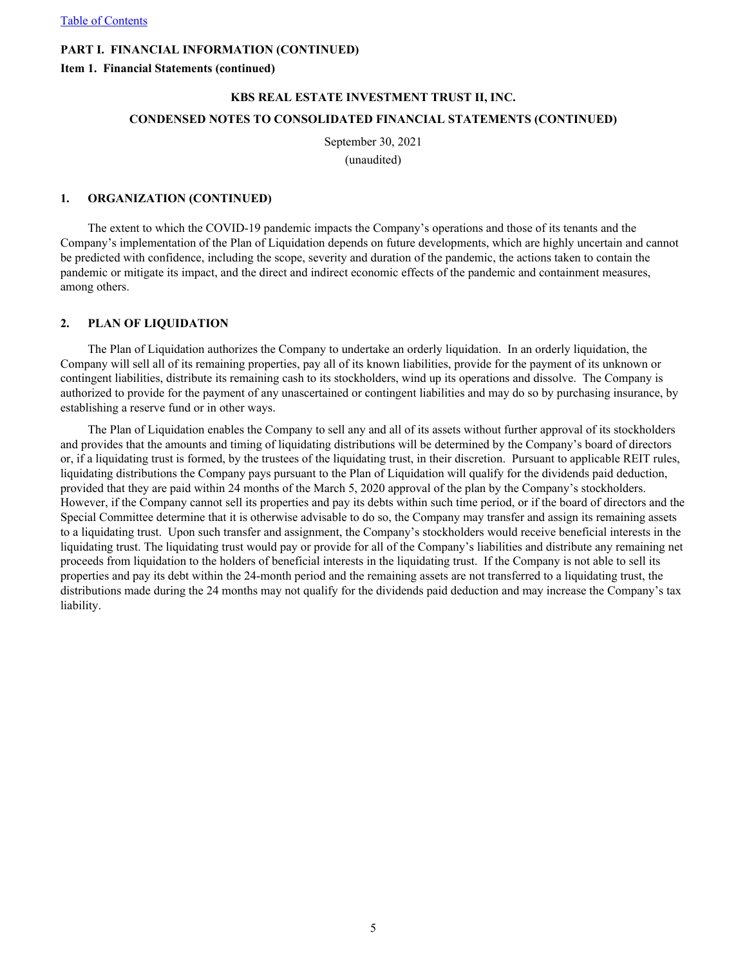**Item 1. Financial Statements (continued)**

## **KBS REAL ESTATE INVESTMENT TRUST II, INC. CONDENSED NOTES TO CONSOLIDATED FINANCIAL STATEMENTS (CONTINUED)**

September 30, 2021 (unaudited)

#### **1. ORGANIZATION (CONTINUED)**

The extent to which the COVID-19 pandemic impacts the Company's operations and those of its tenants and the Company's implementation of the Plan of Liquidation depends on future developments, which are highly uncertain and cannot be predicted with confidence, including the scope, severity and duration of the pandemic, the actions taken to contain the pandemic or mitigate its impact, and the direct and indirect economic effects of the pandemic and containment measures, among others.

#### **2. PLAN OF LIQUIDATION**

The Plan of Liquidation authorizes the Company to undertake an orderly liquidation. In an orderly liquidation, the Company will sell all of its remaining properties, pay all of its known liabilities, provide for the payment of its unknown or contingent liabilities, distribute its remaining cash to its stockholders, wind up its operations and dissolve. The Company is authorized to provide for the payment of any unascertained or contingent liabilities and may do so by purchasing insurance, by establishing a reserve fund or in other ways.

The Plan of Liquidation enables the Company to sell any and all of its assets without further approval of its stockholders and provides that the amounts and timing of liquidating distributions will be determined by the Company's board of directors or, if a liquidating trust is formed, by the trustees of the liquidating trust, in their discretion. Pursuant to applicable REIT rules, liquidating distributions the Company pays pursuant to the Plan of Liquidation will qualify for the dividends paid deduction, provided that they are paid within 24 months of the March 5, 2020 approval of the plan by the Company's stockholders. However, if the Company cannot sell its properties and pay its debts within such time period, or if the board of directors and the Special Committee determine that it is otherwise advisable to do so, the Company may transfer and assign its remaining assets to a liquidating trust. Upon such transfer and assignment, the Company's stockholders would receive beneficial interests in the liquidating trust. The liquidating trust would pay or provide for all of the Company's liabilities and distribute any remaining net proceeds from liquidation to the holders of beneficial interests in the liquidating trust. If the Company is not able to sell its properties and pay its debt within the 24-month period and the remaining assets are not transferred to a liquidating trust, the distributions made during the 24 months may not qualify for the dividends paid deduction and may increase the Company's tax liability.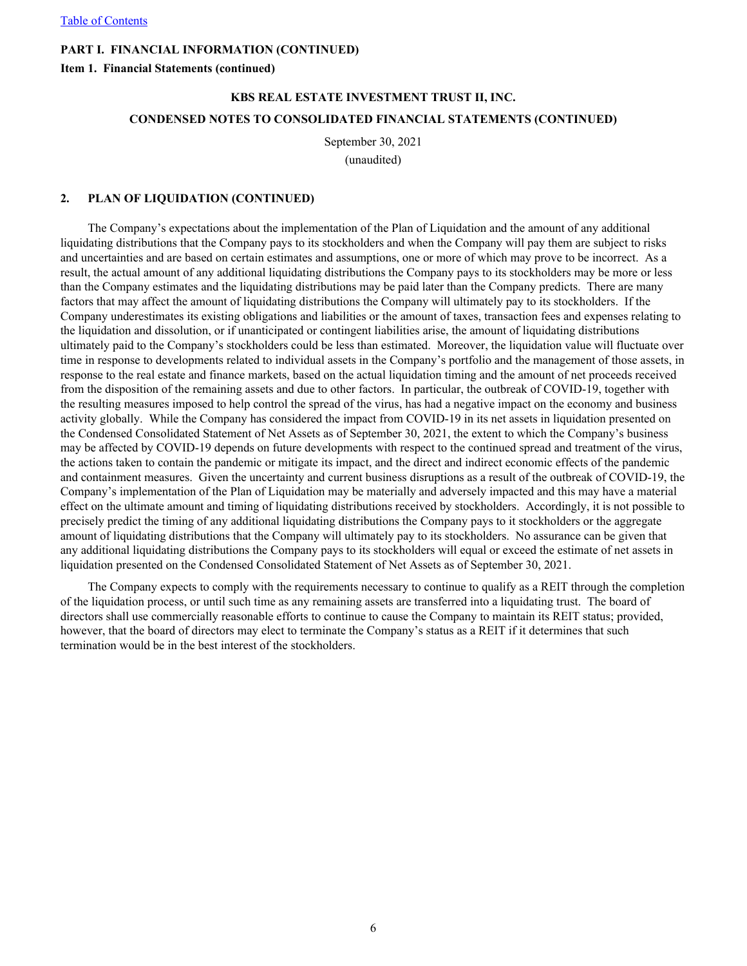**Item 1. Financial Statements (continued)**

## **KBS REAL ESTATE INVESTMENT TRUST II, INC. CONDENSED NOTES TO CONSOLIDATED FINANCIAL STATEMENTS (CONTINUED)**

September 30, 2021

(unaudited)

#### **2. PLAN OF LIQUIDATION (CONTINUED)**

The Company's expectations about the implementation of the Plan of Liquidation and the amount of any additional liquidating distributions that the Company pays to its stockholders and when the Company will pay them are subject to risks and uncertainties and are based on certain estimates and assumptions, one or more of which may prove to be incorrect. As a result, the actual amount of any additional liquidating distributions the Company pays to its stockholders may be more or less than the Company estimates and the liquidating distributions may be paid later than the Company predicts. There are many factors that may affect the amount of liquidating distributions the Company will ultimately pay to its stockholders. If the Company underestimates its existing obligations and liabilities or the amount of taxes, transaction fees and expenses relating to the liquidation and dissolution, or if unanticipated or contingent liabilities arise, the amount of liquidating distributions ultimately paid to the Company's stockholders could be less than estimated. Moreover, the liquidation value will fluctuate over time in response to developments related to individual assets in the Company's portfolio and the management of those assets, in response to the real estate and finance markets, based on the actual liquidation timing and the amount of net proceeds received from the disposition of the remaining assets and due to other factors. In particular, the outbreak of COVID-19, together with the resulting measures imposed to help control the spread of the virus, has had a negative impact on the economy and business activity globally. While the Company has considered the impact from COVID-19 in its net assets in liquidation presented on the Condensed Consolidated Statement of Net Assets as of September 30, 2021, the extent to which the Company's business may be affected by COVID-19 depends on future developments with respect to the continued spread and treatment of the virus, the actions taken to contain the pandemic or mitigate its impact, and the direct and indirect economic effects of the pandemic and containment measures. Given the uncertainty and current business disruptions as a result of the outbreak of COVID-19, the Company's implementation of the Plan of Liquidation may be materially and adversely impacted and this may have a material effect on the ultimate amount and timing of liquidating distributions received by stockholders. Accordingly, it is not possible to precisely predict the timing of any additional liquidating distributions the Company pays to it stockholders or the aggregate amount of liquidating distributions that the Company will ultimately pay to its stockholders. No assurance can be given that any additional liquidating distributions the Company pays to its stockholders will equal or exceed the estimate of net assets in liquidation presented on the Condensed Consolidated Statement of Net Assets as of September 30, 2021.

The Company expects to comply with the requirements necessary to continue to qualify as a REIT through the completion of the liquidation process, or until such time as any remaining assets are transferred into a liquidating trust. The board of directors shall use commercially reasonable efforts to continue to cause the Company to maintain its REIT status; provided, however, that the board of directors may elect to terminate the Company's status as a REIT if it determines that such termination would be in the best interest of the stockholders.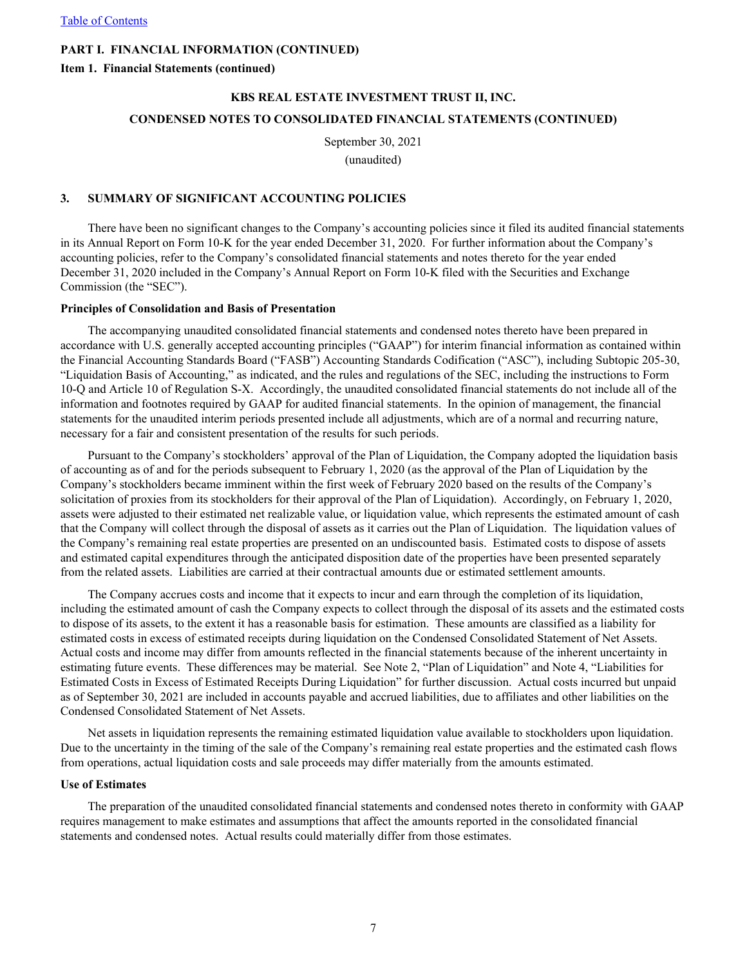**Item 1. Financial Statements (continued)**

## **KBS REAL ESTATE INVESTMENT TRUST II, INC. CONDENSED NOTES TO CONSOLIDATED FINANCIAL STATEMENTS (CONTINUED)**

September 30, 2021 (unaudited)

#### **3. SUMMARY OF SIGNIFICANT ACCOUNTING POLICIES**

There have been no significant changes to the Company's accounting policies since it filed its audited financial statements in its Annual Report on Form 10-K for the year ended December 31, 2020. For further information about the Company's accounting policies, refer to the Company's consolidated financial statements and notes thereto for the year ended December 31, 2020 included in the Company's Annual Report on Form 10-K filed with the Securities and Exchange Commission (the "SEC").

#### **Principles of Consolidation and Basis of Presentation**

The accompanying unaudited consolidated financial statements and condensed notes thereto have been prepared in accordance with U.S. generally accepted accounting principles ("GAAP") for interim financial information as contained within the Financial Accounting Standards Board ("FASB") Accounting Standards Codification ("ASC"), including Subtopic 205-30, "Liquidation Basis of Accounting," as indicated, and the rules and regulations of the SEC, including the instructions to Form 10-Q and Article 10 of Regulation S-X. Accordingly, the unaudited consolidated financial statements do not include all of the information and footnotes required by GAAP for audited financial statements. In the opinion of management, the financial statements for the unaudited interim periods presented include all adjustments, which are of a normal and recurring nature, necessary for a fair and consistent presentation of the results for such periods.

Pursuant to the Company's stockholders' approval of the Plan of Liquidation, the Company adopted the liquidation basis of accounting as of and for the periods subsequent to February 1, 2020 (as the approval of the Plan of Liquidation by the Company's stockholders became imminent within the first week of February 2020 based on the results of the Company's solicitation of proxies from its stockholders for their approval of the Plan of Liquidation). Accordingly, on February 1, 2020, assets were adjusted to their estimated net realizable value, or liquidation value, which represents the estimated amount of cash that the Company will collect through the disposal of assets as it carries out the Plan of Liquidation. The liquidation values of the Company's remaining real estate properties are presented on an undiscounted basis. Estimated costs to dispose of assets and estimated capital expenditures through the anticipated disposition date of the properties have been presented separately from the related assets. Liabilities are carried at their contractual amounts due or estimated settlement amounts.

The Company accrues costs and income that it expects to incur and earn through the completion of its liquidation, including the estimated amount of cash the Company expects to collect through the disposal of its assets and the estimated costs to dispose of its assets, to the extent it has a reasonable basis for estimation. These amounts are classified as a liability for estimated costs in excess of estimated receipts during liquidation on the Condensed Consolidated Statement of Net Assets. Actual costs and income may differ from amounts reflected in the financial statements because of the inherent uncertainty in estimating future events. These differences may be material. See Note 2, "Plan of Liquidation" and Note 4, "Liabilities for Estimated Costs in Excess of Estimated Receipts During Liquidation" for further discussion. Actual costs incurred but unpaid as of September 30, 2021 are included in accounts payable and accrued liabilities, due to affiliates and other liabilities on the Condensed Consolidated Statement of Net Assets.

Net assets in liquidation represents the remaining estimated liquidation value available to stockholders upon liquidation. Due to the uncertainty in the timing of the sale of the Company's remaining real estate properties and the estimated cash flows from operations, actual liquidation costs and sale proceeds may differ materially from the amounts estimated.

#### **Use of Estimates**

The preparation of the unaudited consolidated financial statements and condensed notes thereto in conformity with GAAP requires management to make estimates and assumptions that affect the amounts reported in the consolidated financial statements and condensed notes. Actual results could materially differ from those estimates.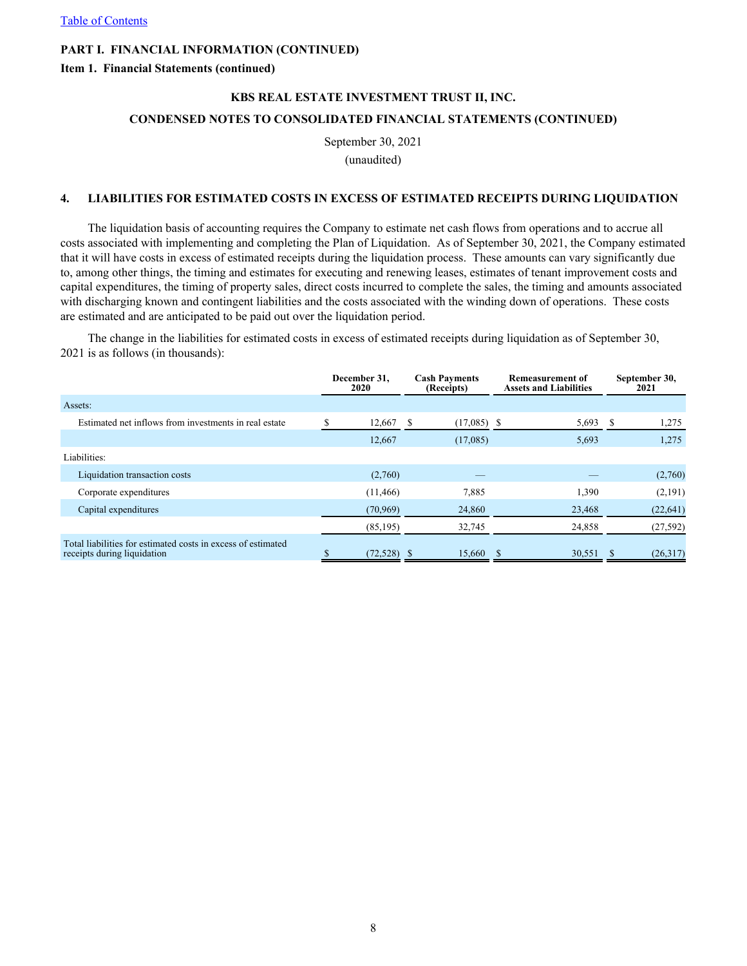**Item 1. Financial Statements (continued)**

## **KBS REAL ESTATE INVESTMENT TRUST II, INC. CONDENSED NOTES TO CONSOLIDATED FINANCIAL STATEMENTS (CONTINUED)**

September 30, 2021

(unaudited)

#### **4. LIABILITIES FOR ESTIMATED COSTS IN EXCESS OF ESTIMATED RECEIPTS DURING LIQUIDATION**

The liquidation basis of accounting requires the Company to estimate net cash flows from operations and to accrue all costs associated with implementing and completing the Plan of Liquidation. As of September 30, 2021, the Company estimated that it will have costs in excess of estimated receipts during the liquidation process. These amounts can vary significantly due to, among other things, the timing and estimates for executing and renewing leases, estimates of tenant improvement costs and capital expenditures, the timing of property sales, direct costs incurred to complete the sales, the timing and amounts associated with discharging known and contingent liabilities and the costs associated with the winding down of operations. These costs are estimated and are anticipated to be paid out over the liquidation period.

The change in the liabilities for estimated costs in excess of estimated receipts during liquidation as of September 30, 2021 is as follows (in thousands):

|                                                                                             | December 31,<br>2020 | <b>Cash Payments</b><br>(Receipts) | <b>Remeasurement of</b><br><b>Assets and Liabilities</b> | September 30,<br>2021 |
|---------------------------------------------------------------------------------------------|----------------------|------------------------------------|----------------------------------------------------------|-----------------------|
| Assets:                                                                                     |                      |                                    |                                                          |                       |
| Estimated net inflows from investments in real estate                                       | 12,667               | $(17,085)$ \$<br>-S                | 5,693                                                    | 1,275<br>- \$         |
|                                                                                             | 12,667               | (17,085)                           | 5,693                                                    | 1,275                 |
| Liabilities:                                                                                |                      |                                    |                                                          |                       |
| Liquidation transaction costs                                                               | (2,760)              |                                    |                                                          | (2,760)               |
| Corporate expenditures                                                                      | (11, 466)            | 7,885                              | 1,390                                                    | (2,191)               |
| Capital expenditures                                                                        | (70, 969)            | 24,860                             | 23,468                                                   | (22, 641)             |
|                                                                                             | (85, 195)            | 32,745                             | 24,858                                                   | (27, 592)             |
| Total liabilities for estimated costs in excess of estimated<br>receipts during liquidation | $(72,528)$ \$        | 15,660                             | 30,551                                                   | (26,317)              |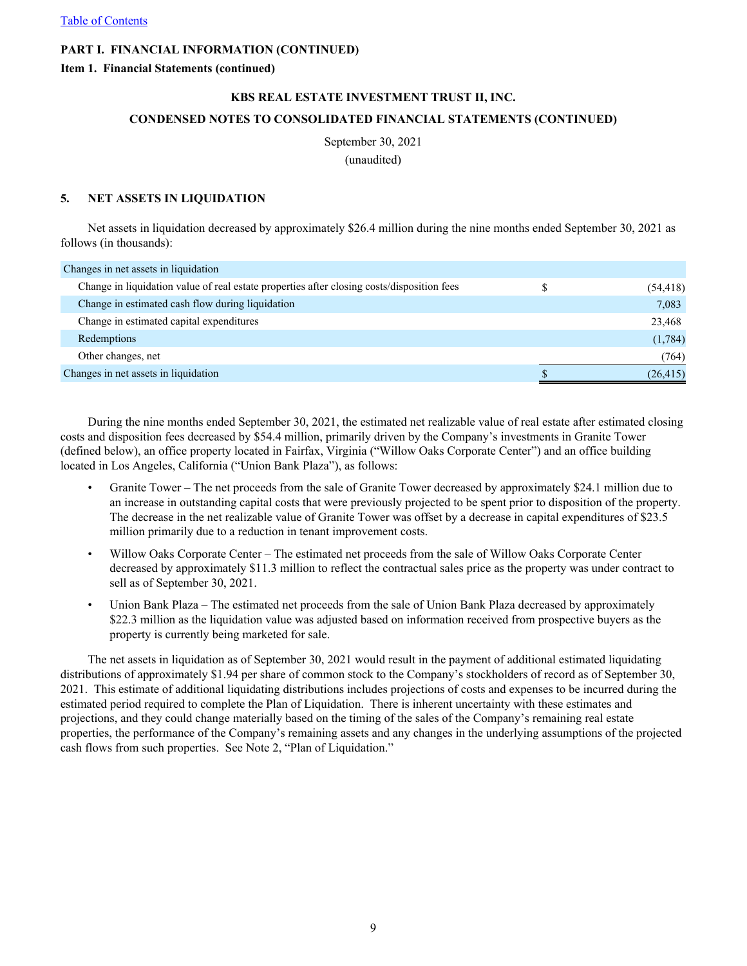## **Item 1. Financial Statements (continued)**

## **KBS REAL ESTATE INVESTMENT TRUST II, INC.**

## **CONDENSED NOTES TO CONSOLIDATED FINANCIAL STATEMENTS (CONTINUED)**

September 30, 2021

(unaudited)

## **5. NET ASSETS IN LIQUIDATION**

Net assets in liquidation decreased by approximately \$26.4 million during the nine months ended September 30, 2021 as follows (in thousands):

| Changes in net assets in liquidation                                                       |           |
|--------------------------------------------------------------------------------------------|-----------|
| Change in liquidation value of real estate properties after closing costs/disposition fees | (54, 418) |
| Change in estimated cash flow during liquidation                                           | 7,083     |
| Change in estimated capital expenditures                                                   | 23,468    |
| Redemptions                                                                                | (1,784)   |
| Other changes, net                                                                         | (764)     |
| Changes in net assets in liquidation                                                       | (26, 415) |

During the nine months ended September 30, 2021, the estimated net realizable value of real estate after estimated closing costs and disposition fees decreased by \$54.4 million, primarily driven by the Company's investments in Granite Tower (defined below), an office property located in Fairfax, Virginia ("Willow Oaks Corporate Center") and an office building located in Los Angeles, California ("Union Bank Plaza"), as follows:

- Granite Tower The net proceeds from the sale of Granite Tower decreased by approximately \$24.1 million due to an increase in outstanding capital costs that were previously projected to be spent prior to disposition of the property. The decrease in the net realizable value of Granite Tower was offset by a decrease in capital expenditures of \$23.5 million primarily due to a reduction in tenant improvement costs.
- Willow Oaks Corporate Center The estimated net proceeds from the sale of Willow Oaks Corporate Center decreased by approximately \$11.3 million to reflect the contractual sales price as the property was under contract to sell as of September 30, 2021.
- Union Bank Plaza The estimated net proceeds from the sale of Union Bank Plaza decreased by approximately \$22.3 million as the liquidation value was adjusted based on information received from prospective buyers as the property is currently being marketed for sale.

The net assets in liquidation as of September 30, 2021 would result in the payment of additional estimated liquidating distributions of approximately \$1.94 per share of common stock to the Company's stockholders of record as of September 30, 2021. This estimate of additional liquidating distributions includes projections of costs and expenses to be incurred during the estimated period required to complete the Plan of Liquidation. There is inherent uncertainty with these estimates and projections, and they could change materially based on the timing of the sales of the Company's remaining real estate properties, the performance of the Company's remaining assets and any changes in the underlying assumptions of the projected cash flows from such properties. See Note 2, "Plan of Liquidation."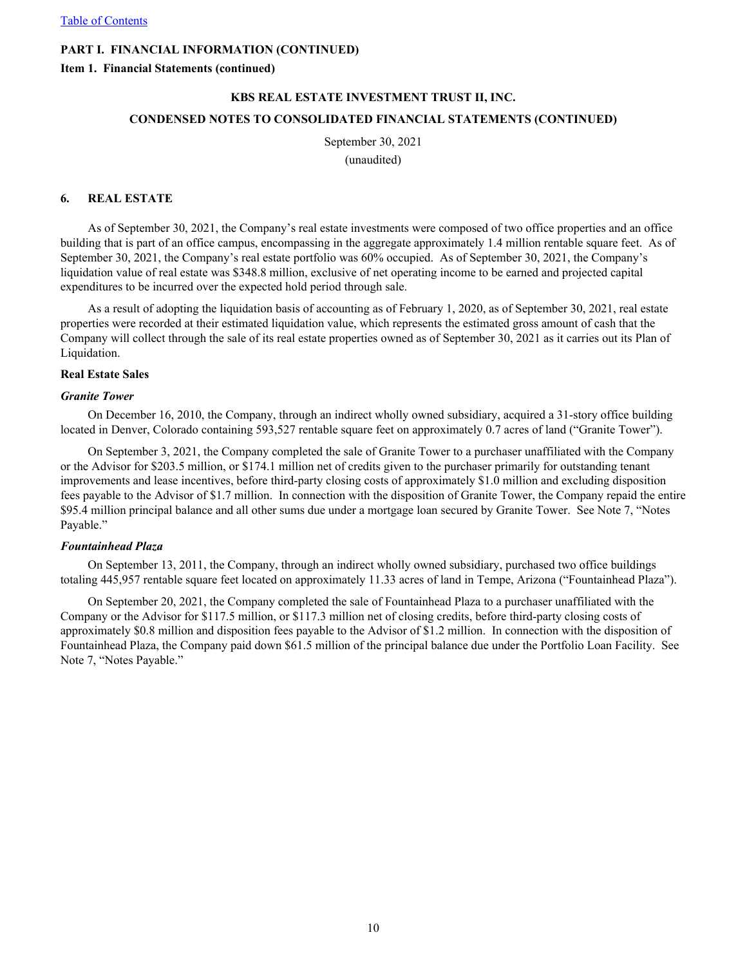**Item 1. Financial Statements (continued)**

## **KBS REAL ESTATE INVESTMENT TRUST II, INC. CONDENSED NOTES TO CONSOLIDATED FINANCIAL STATEMENTS (CONTINUED)**

September 30, 2021 (unaudited)

#### **6. REAL ESTATE**

As of September 30, 2021, the Company's real estate investments were composed of two office properties and an office building that is part of an office campus, encompassing in the aggregate approximately 1.4 million rentable square feet. As of September 30, 2021, the Company's real estate portfolio was 60% occupied. As of September 30, 2021, the Company's liquidation value of real estate was \$348.8 million, exclusive of net operating income to be earned and projected capital expenditures to be incurred over the expected hold period through sale.

As a result of adopting the liquidation basis of accounting as of February 1, 2020, as of September 30, 2021, real estate properties were recorded at their estimated liquidation value, which represents the estimated gross amount of cash that the Company will collect through the sale of its real estate properties owned as of September 30, 2021 as it carries out its Plan of Liquidation.

#### **Real Estate Sales**

#### *Granite Tower*

On December 16, 2010, the Company, through an indirect wholly owned subsidiary, acquired a 31-story office building located in Denver, Colorado containing 593,527 rentable square feet on approximately 0.7 acres of land ("Granite Tower").

On September 3, 2021, the Company completed the sale of Granite Tower to a purchaser unaffiliated with the Company or the Advisor for \$203.5 million, or \$174.1 million net of credits given to the purchaser primarily for outstanding tenant improvements and lease incentives, before third-party closing costs of approximately \$1.0 million and excluding disposition fees payable to the Advisor of \$1.7 million. In connection with the disposition of Granite Tower, the Company repaid the entire \$95.4 million principal balance and all other sums due under a mortgage loan secured by Granite Tower. See Note 7, "Notes Payable."

#### *Fountainhead Plaza*

On September 13, 2011, the Company, through an indirect wholly owned subsidiary, purchased two office buildings totaling 445,957 rentable square feet located on approximately 11.33 acres of land in Tempe, Arizona ("Fountainhead Plaza").

On September 20, 2021, the Company completed the sale of Fountainhead Plaza to a purchaser unaffiliated with the Company or the Advisor for \$117.5 million, or \$117.3 million net of closing credits, before third-party closing costs of approximately \$0.8 million and disposition fees payable to the Advisor of \$1.2 million. In connection with the disposition of Fountainhead Plaza, the Company paid down \$61.5 million of the principal balance due under the Portfolio Loan Facility. See Note 7, "Notes Payable."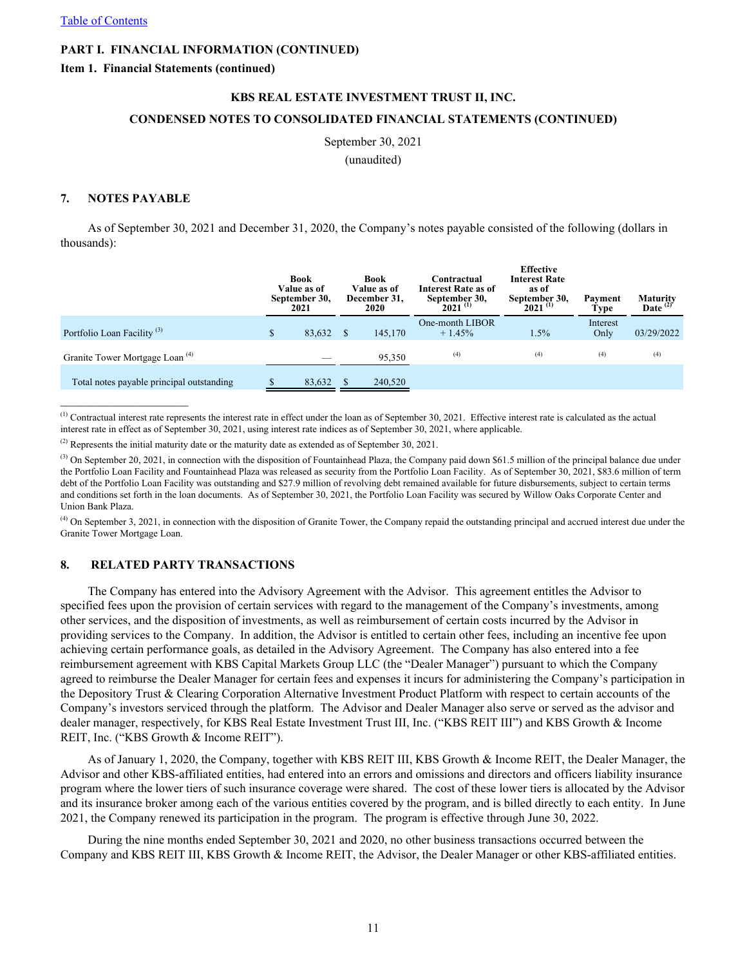#### **Item 1. Financial Statements (continued)**

#### **KBS REAL ESTATE INVESTMENT TRUST II, INC.**

## **CONDENSED NOTES TO CONSOLIDATED FINANCIAL STATEMENTS (CONTINUED)**

## September 30, 2021

(unaudited)

#### **7. NOTES PAYABLE**

As of September 30, 2021 and December 31, 2020, the Company's notes payable consisted of the following (dollars in thousands):

|                                            | <b>Book</b><br>Value as of<br>September 30,<br>2021 |        |   | Book<br>Value as of<br>December 31,<br>2020 | Contractual<br>Interest Rate as of<br>September 30,<br>$2021^{(1)}$ | <b>Effective</b><br><b>Interest Rate</b><br>as of<br>September 30,<br>$2021^{(1)}$ | Payment<br>Type  | <b>Maturity</b><br>Date $(2)$ <sup>*</sup> |
|--------------------------------------------|-----------------------------------------------------|--------|---|---------------------------------------------|---------------------------------------------------------------------|------------------------------------------------------------------------------------|------------------|--------------------------------------------|
| Portfolio Loan Facility <sup>(3)</sup>     |                                                     | 83,632 | S | 145,170                                     | One-month LIBOR<br>$+1.45%$                                         | 1.5%                                                                               | Interest<br>Only | 03/29/2022                                 |
| Granite Tower Mortgage Loan <sup>(4)</sup> |                                                     |        |   | 95,350                                      | (4)                                                                 | (4)                                                                                | (4)              | (4)                                        |
| Total notes payable principal outstanding  |                                                     | 83,632 |   | 240,520                                     |                                                                     |                                                                                    |                  |                                            |

 $^{(1)}$  Contractual interest rate represents the interest rate in effect under the loan as of September 30, 2021. Effective interest rate is calculated as the actual interest rate in effect as of September 30, 2021, using interest rate indices as of September 30, 2021, where applicable.

 $^{(2)}$  Represents the initial maturity date or the maturity date as extended as of September 30, 2021.

<sup>(3)</sup> On September 20, 2021, in connection with the disposition of Fountainhead Plaza, the Company paid down \$61.5 million of the principal balance due under the Portfolio Loan Facility and Fountainhead Plaza was released as security from the Portfolio Loan Facility. As of September 30, 2021, \$83.6 million of term debt of the Portfolio Loan Facility was outstanding and \$27.9 million of revolving debt remained available for future disbursements, subject to certain terms and conditions set forth in the loan documents. As of September 30, 2021, the Portfolio Loan Facility was secured by Willow Oaks Corporate Center and Union Bank Plaza.

 $(4)$  On September 3, 2021, in connection with the disposition of Granite Tower, the Company repaid the outstanding principal and accrued interest due under the Granite Tower Mortgage Loan.

#### **8. RELATED PARTY TRANSACTIONS**

The Company has entered into the Advisory Agreement with the Advisor. This agreement entitles the Advisor to specified fees upon the provision of certain services with regard to the management of the Company's investments, among other services, and the disposition of investments, as well as reimbursement of certain costs incurred by the Advisor in providing services to the Company. In addition, the Advisor is entitled to certain other fees, including an incentive fee upon achieving certain performance goals, as detailed in the Advisory Agreement. The Company has also entered into a fee reimbursement agreement with KBS Capital Markets Group LLC (the "Dealer Manager") pursuant to which the Company agreed to reimburse the Dealer Manager for certain fees and expenses it incurs for administering the Company's participation in the Depository Trust & Clearing Corporation Alternative Investment Product Platform with respect to certain accounts of the Company's investors serviced through the platform. The Advisor and Dealer Manager also serve or served as the advisor and dealer manager, respectively, for KBS Real Estate Investment Trust III, Inc. ("KBS REIT III") and KBS Growth & Income REIT, Inc. ("KBS Growth & Income REIT").

As of January 1, 2020, the Company, together with KBS REIT III, KBS Growth & Income REIT, the Dealer Manager, the Advisor and other KBS-affiliated entities, had entered into an errors and omissions and directors and officers liability insurance program where the lower tiers of such insurance coverage were shared. The cost of these lower tiers is allocated by the Advisor and its insurance broker among each of the various entities covered by the program, and is billed directly to each entity. In June 2021, the Company renewed its participation in the program. The program is effective through June 30, 2022.

During the nine months ended September 30, 2021 and 2020, no other business transactions occurred between the Company and KBS REIT III, KBS Growth & Income REIT, the Advisor, the Dealer Manager or other KBS-affiliated entities.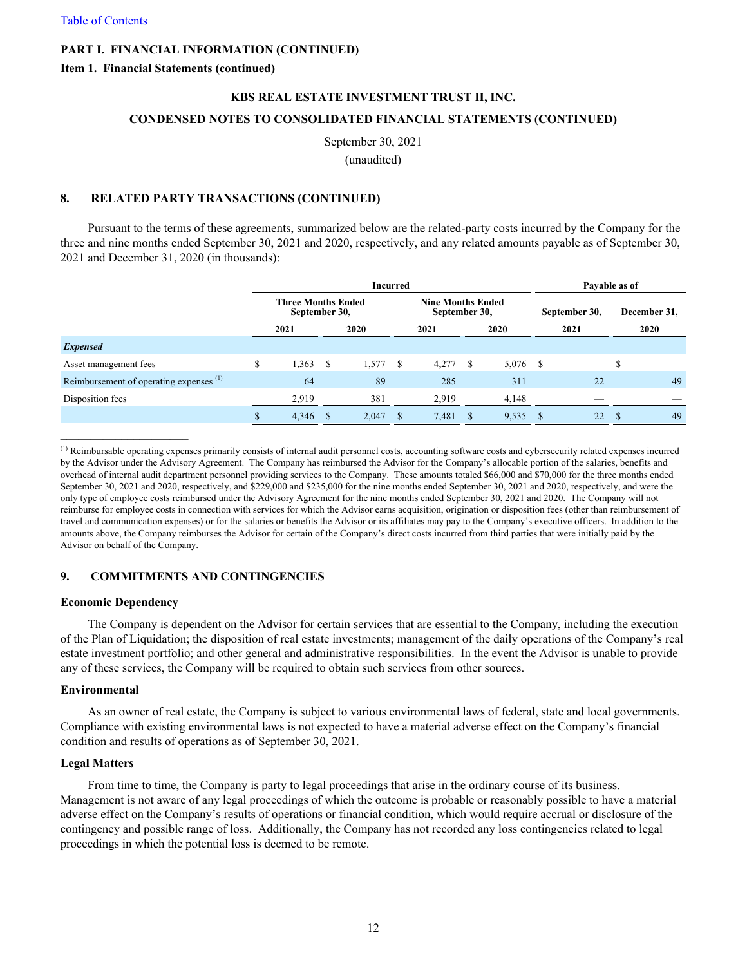#### **Item 1. Financial Statements (continued)**

## **KBS REAL ESTATE INVESTMENT TRUST II, INC. CONDENSED NOTES TO CONSOLIDATED FINANCIAL STATEMENTS (CONTINUED)**

September 30, 2021

(unaudited)

## **8. RELATED PARTY TRANSACTIONS (CONTINUED)**

Pursuant to the terms of these agreements, summarized below are the related-party costs incurred by the Company for the three and nine months ended September 30, 2021 and 2020, respectively, and any related amounts payable as of September 30, 2021 and December 31, 2020 (in thousands):

|                                                    |   |                                            |   | Incurred | Payable as of                             |              |   |       |               |    |              |    |
|----------------------------------------------------|---|--------------------------------------------|---|----------|-------------------------------------------|--------------|---|-------|---------------|----|--------------|----|
|                                                    |   | <b>Three Months Ended</b><br>September 30, |   |          | <b>Nine Months Ended</b><br>September 30, |              |   |       | September 30, |    | December 31, |    |
|                                                    |   | 2021                                       |   | 2020     |                                           | 2020<br>2021 |   |       | 2021          |    | 2020         |    |
| <i>Expensed</i>                                    |   |                                            |   |          |                                           |              |   |       |               |    |              |    |
| Asset management fees                              | S | .363                                       | S | 1,577    | -S                                        | 4,277        | S | 5,076 | -S            |    |              |    |
| Reimbursement of operating expenses <sup>(1)</sup> |   | 64                                         |   | 89       |                                           | 285          |   | 311   |               | 22 |              | 49 |
| Disposition fees                                   |   | 2,919                                      |   | 381      |                                           | 2,919        |   | 4,148 |               |    |              |    |
|                                                    |   | 4,346                                      |   | 2,047    |                                           | 7,481        |   | 9,535 |               | 22 |              | 49 |

 $<sup>(1)</sup>$  Reimbursable operating expenses primarily consists of internal audit personnel costs, accounting software costs and cybersecurity related expenses incurred</sup> by the Advisor under the Advisory Agreement. The Company has reimbursed the Advisor for the Company's allocable portion of the salaries, benefits and overhead of internal audit department personnel providing services to the Company. These amounts totaled \$66,000 and \$70,000 for the three months ended September 30, 2021 and 2020, respectively, and \$229,000 and \$235,000 for the nine months ended September 30, 2021 and 2020, respectively, and were the only type of employee costs reimbursed under the Advisory Agreement for the nine months ended September 30, 2021 and 2020. The Company will not reimburse for employee costs in connection with services for which the Advisor earns acquisition, origination or disposition fees (other than reimbursement of travel and communication expenses) or for the salaries or benefits the Advisor or its affiliates may pay to the Company's executive officers. In addition to the amounts above, the Company reimburses the Advisor for certain of the Company's direct costs incurred from third parties that were initially paid by the Advisor on behalf of the Company.

## **9. COMMITMENTS AND CONTINGENCIES**

#### **Economic Dependency**

The Company is dependent on the Advisor for certain services that are essential to the Company, including the execution of the Plan of Liquidation; the disposition of real estate investments; management of the daily operations of the Company's real estate investment portfolio; and other general and administrative responsibilities. In the event the Advisor is unable to provide any of these services, the Company will be required to obtain such services from other sources.

#### **Environmental**

As an owner of real estate, the Company is subject to various environmental laws of federal, state and local governments. Compliance with existing environmental laws is not expected to have a material adverse effect on the Company's financial condition and results of operations as of September 30, 2021.

#### **Legal Matters**

From time to time, the Company is party to legal proceedings that arise in the ordinary course of its business. Management is not aware of any legal proceedings of which the outcome is probable or reasonably possible to have a material adverse effect on the Company's results of operations or financial condition, which would require accrual or disclosure of the contingency and possible range of loss. Additionally, the Company has not recorded any loss contingencies related to legal proceedings in which the potential loss is deemed to be remote.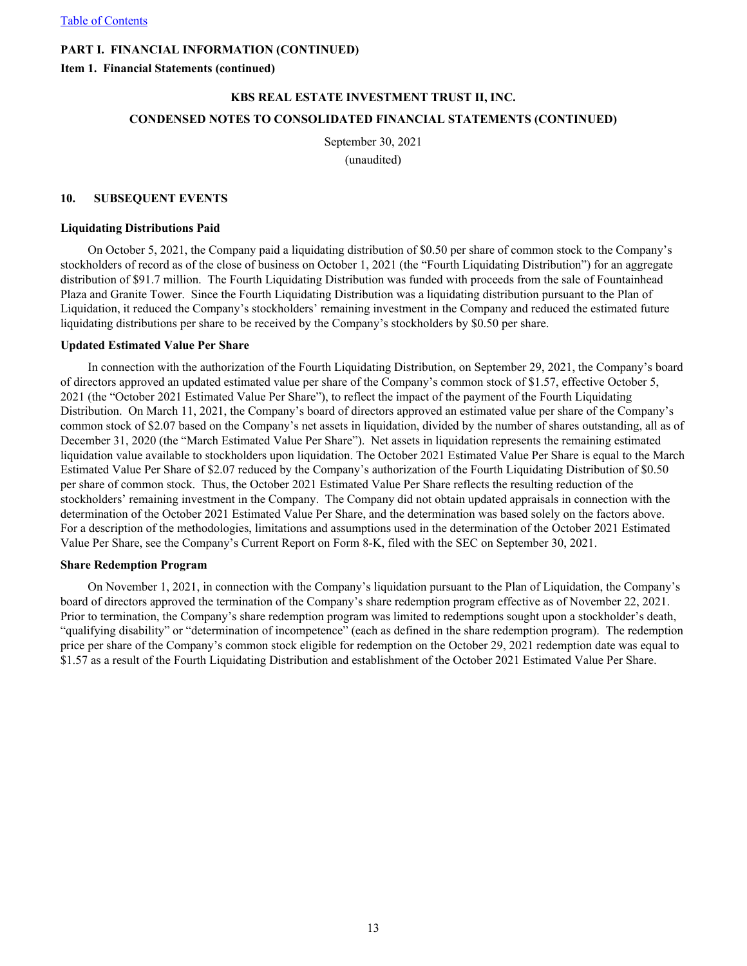#### **Item 1. Financial Statements (continued)**

## **KBS REAL ESTATE INVESTMENT TRUST II, INC. CONDENSED NOTES TO CONSOLIDATED FINANCIAL STATEMENTS (CONTINUED)**

September 30, 2021 (unaudited)

#### **10. SUBSEQUENT EVENTS**

#### **Liquidating Distributions Paid**

On October 5, 2021, the Company paid a liquidating distribution of \$0.50 per share of common stock to the Company's stockholders of record as of the close of business on October 1, 2021 (the "Fourth Liquidating Distribution") for an aggregate distribution of \$91.7 million. The Fourth Liquidating Distribution was funded with proceeds from the sale of Fountainhead Plaza and Granite Tower. Since the Fourth Liquidating Distribution was a liquidating distribution pursuant to the Plan of Liquidation, it reduced the Company's stockholders' remaining investment in the Company and reduced the estimated future liquidating distributions per share to be received by the Company's stockholders by \$0.50 per share.

#### **Updated Estimated Value Per Share**

In connection with the authorization of the Fourth Liquidating Distribution, on September 29, 2021, the Company's board of directors approved an updated estimated value per share of the Company's common stock of \$1.57, effective October 5, 2021 (the "October 2021 Estimated Value Per Share"), to reflect the impact of the payment of the Fourth Liquidating Distribution. On March 11, 2021, the Company's board of directors approved an estimated value per share of the Company's common stock of \$2.07 based on the Company's net assets in liquidation, divided by the number of shares outstanding, all as of December 31, 2020 (the "March Estimated Value Per Share"). Net assets in liquidation represents the remaining estimated liquidation value available to stockholders upon liquidation. The October 2021 Estimated Value Per Share is equal to the March Estimated Value Per Share of \$2.07 reduced by the Company's authorization of the Fourth Liquidating Distribution of \$0.50 per share of common stock. Thus, the October 2021 Estimated Value Per Share reflects the resulting reduction of the stockholders' remaining investment in the Company. The Company did not obtain updated appraisals in connection with the determination of the October 2021 Estimated Value Per Share, and the determination was based solely on the factors above. For a description of the methodologies, limitations and assumptions used in the determination of the October 2021 Estimated Value Per Share, see the Company's Current Report on Form 8-K, filed with the SEC on September 30, 2021.

#### **Share Redemption Program**

On November 1, 2021, in connection with the Company's liquidation pursuant to the Plan of Liquidation, the Company's board of directors approved the termination of the Company's share redemption program effective as of November 22, 2021. Prior to termination, the Company's share redemption program was limited to redemptions sought upon a stockholder's death, "qualifying disability" or "determination of incompetence" (each as defined in the share redemption program). The redemption price per share of the Company's common stock eligible for redemption on the October 29, 2021 redemption date was equal to \$1.57 as a result of the Fourth Liquidating Distribution and establishment of the October 2021 Estimated Value Per Share.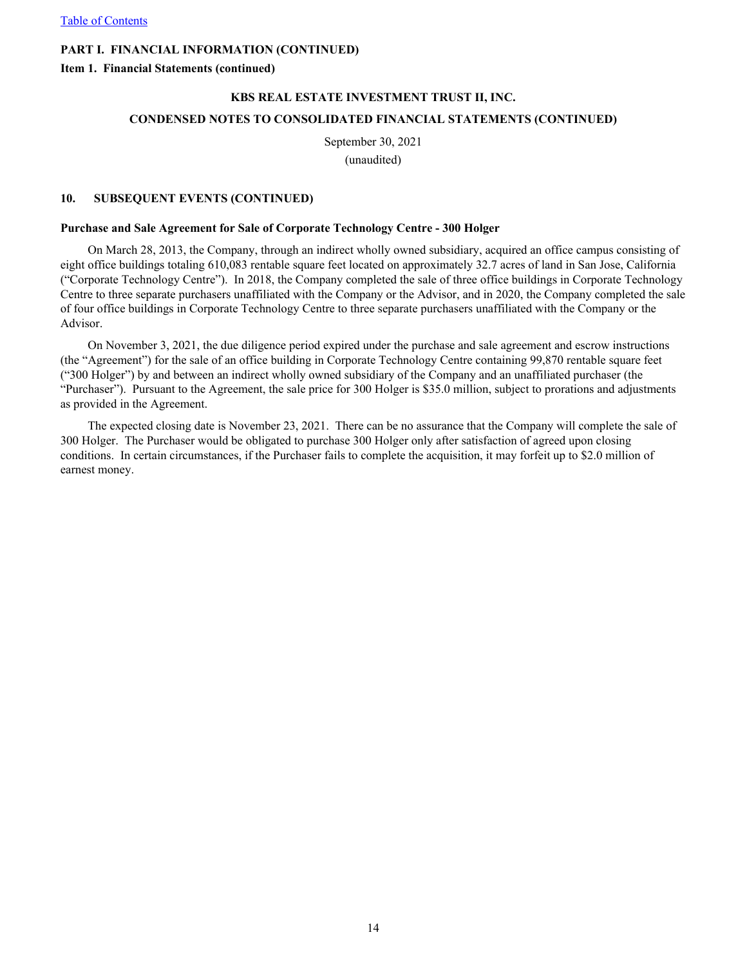**Item 1. Financial Statements (continued)**

## **KBS REAL ESTATE INVESTMENT TRUST II, INC. CONDENSED NOTES TO CONSOLIDATED FINANCIAL STATEMENTS (CONTINUED)**

September 30, 2021 (unaudited)

#### **10. SUBSEQUENT EVENTS (CONTINUED)**

#### **Purchase and Sale Agreement for Sale of Corporate Technology Centre - 300 Holger**

On March 28, 2013, the Company, through an indirect wholly owned subsidiary, acquired an office campus consisting of eight office buildings totaling 610,083 rentable square feet located on approximately 32.7 acres of land in San Jose, California ("Corporate Technology Centre"). In 2018, the Company completed the sale of three office buildings in Corporate Technology Centre to three separate purchasers unaffiliated with the Company or the Advisor, and in 2020, the Company completed the sale of four office buildings in Corporate Technology Centre to three separate purchasers unaffiliated with the Company or the Advisor.

On November 3, 2021, the due diligence period expired under the purchase and sale agreement and escrow instructions (the "Agreement") for the sale of an office building in Corporate Technology Centre containing 99,870 rentable square feet ("300 Holger") by and between an indirect wholly owned subsidiary of the Company and an unaffiliated purchaser (the "Purchaser"). Pursuant to the Agreement, the sale price for 300 Holger is \$35.0 million, subject to prorations and adjustments as provided in the Agreement.

The expected closing date is November 23, 2021. There can be no assurance that the Company will complete the sale of 300 Holger. The Purchaser would be obligated to purchase 300 Holger only after satisfaction of agreed upon closing conditions. In certain circumstances, if the Purchaser fails to complete the acquisition, it may forfeit up to \$2.0 million of earnest money.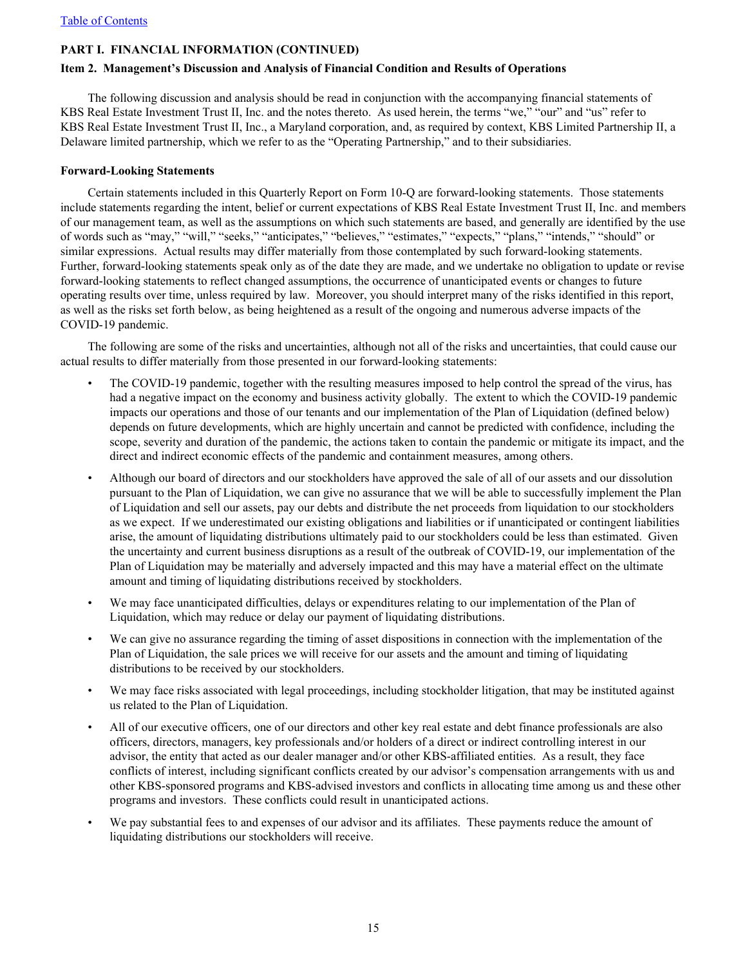## <span id="page-15-0"></span>**Item 2. Management's Discussion and Analysis of Financial Condition and Results of Operations**

The following discussion and analysis should be read in conjunction with the accompanying financial statements of KBS Real Estate Investment Trust II, Inc. and the notes thereto. As used herein, the terms "we," "our" and "us" refer to KBS Real Estate Investment Trust II, Inc., a Maryland corporation, and, as required by context, KBS Limited Partnership II, a Delaware limited partnership, which we refer to as the "Operating Partnership," and to their subsidiaries.

#### **Forward-Looking Statements**

Certain statements included in this Quarterly Report on Form 10-Q are forward-looking statements. Those statements include statements regarding the intent, belief or current expectations of KBS Real Estate Investment Trust II, Inc. and members of our management team, as well as the assumptions on which such statements are based, and generally are identified by the use of words such as "may," "will," "seeks," "anticipates," "believes," "estimates," "expects," "plans," "intends," "should" or similar expressions. Actual results may differ materially from those contemplated by such forward-looking statements. Further, forward-looking statements speak only as of the date they are made, and we undertake no obligation to update or revise forward-looking statements to reflect changed assumptions, the occurrence of unanticipated events or changes to future operating results over time, unless required by law. Moreover, you should interpret many of the risks identified in this report, as well as the risks set forth below, as being heightened as a result of the ongoing and numerous adverse impacts of the COVID-19 pandemic.

The following are some of the risks and uncertainties, although not all of the risks and uncertainties, that could cause our actual results to differ materially from those presented in our forward-looking statements:

- The COVID-19 pandemic, together with the resulting measures imposed to help control the spread of the virus, has had a negative impact on the economy and business activity globally. The extent to which the COVID-19 pandemic impacts our operations and those of our tenants and our implementation of the Plan of Liquidation (defined below) depends on future developments, which are highly uncertain and cannot be predicted with confidence, including the scope, severity and duration of the pandemic, the actions taken to contain the pandemic or mitigate its impact, and the direct and indirect economic effects of the pandemic and containment measures, among others.
- Although our board of directors and our stockholders have approved the sale of all of our assets and our dissolution pursuant to the Plan of Liquidation, we can give no assurance that we will be able to successfully implement the Plan of Liquidation and sell our assets, pay our debts and distribute the net proceeds from liquidation to our stockholders as we expect. If we underestimated our existing obligations and liabilities or if unanticipated or contingent liabilities arise, the amount of liquidating distributions ultimately paid to our stockholders could be less than estimated. Given the uncertainty and current business disruptions as a result of the outbreak of COVID-19, our implementation of the Plan of Liquidation may be materially and adversely impacted and this may have a material effect on the ultimate amount and timing of liquidating distributions received by stockholders.
- We may face unanticipated difficulties, delays or expenditures relating to our implementation of the Plan of Liquidation, which may reduce or delay our payment of liquidating distributions.
- We can give no assurance regarding the timing of asset dispositions in connection with the implementation of the Plan of Liquidation, the sale prices we will receive for our assets and the amount and timing of liquidating distributions to be received by our stockholders.
- We may face risks associated with legal proceedings, including stockholder litigation, that may be instituted against us related to the Plan of Liquidation.
- All of our executive officers, one of our directors and other key real estate and debt finance professionals are also officers, directors, managers, key professionals and/or holders of a direct or indirect controlling interest in our advisor, the entity that acted as our dealer manager and/or other KBS-affiliated entities. As a result, they face conflicts of interest, including significant conflicts created by our advisor's compensation arrangements with us and other KBS-sponsored programs and KBS-advised investors and conflicts in allocating time among us and these other programs and investors. These conflicts could result in unanticipated actions.
- We pay substantial fees to and expenses of our advisor and its affiliates. These payments reduce the amount of liquidating distributions our stockholders will receive.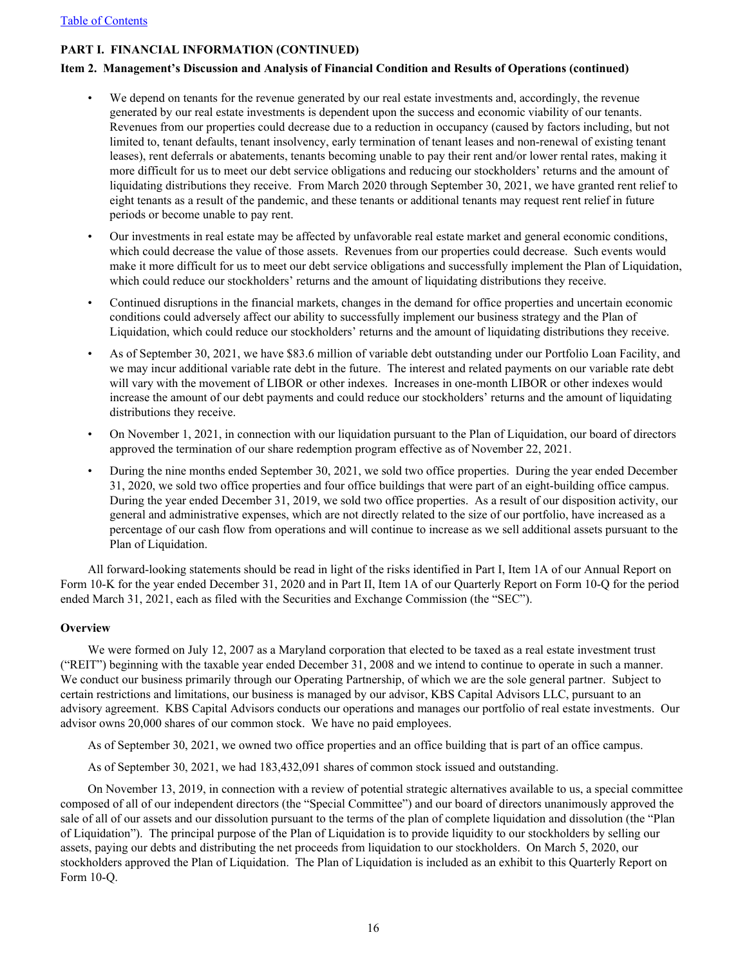## **Item 2. Management's Discussion and Analysis of Financial Condition and Results of Operations (continued)**

- We depend on tenants for the revenue generated by our real estate investments and, accordingly, the revenue generated by our real estate investments is dependent upon the success and economic viability of our tenants. Revenues from our properties could decrease due to a reduction in occupancy (caused by factors including, but not limited to, tenant defaults, tenant insolvency, early termination of tenant leases and non-renewal of existing tenant leases), rent deferrals or abatements, tenants becoming unable to pay their rent and/or lower rental rates, making it more difficult for us to meet our debt service obligations and reducing our stockholders' returns and the amount of liquidating distributions they receive. From March 2020 through September 30, 2021, we have granted rent relief to eight tenants as a result of the pandemic, and these tenants or additional tenants may request rent relief in future periods or become unable to pay rent.
- Our investments in real estate may be affected by unfavorable real estate market and general economic conditions, which could decrease the value of those assets. Revenues from our properties could decrease. Such events would make it more difficult for us to meet our debt service obligations and successfully implement the Plan of Liquidation, which could reduce our stockholders' returns and the amount of liquidating distributions they receive.
- Continued disruptions in the financial markets, changes in the demand for office properties and uncertain economic conditions could adversely affect our ability to successfully implement our business strategy and the Plan of Liquidation, which could reduce our stockholders' returns and the amount of liquidating distributions they receive.
- As of September 30, 2021, we have \$83.6 million of variable debt outstanding under our Portfolio Loan Facility, and we may incur additional variable rate debt in the future. The interest and related payments on our variable rate debt will vary with the movement of LIBOR or other indexes. Increases in one-month LIBOR or other indexes would increase the amount of our debt payments and could reduce our stockholders' returns and the amount of liquidating distributions they receive.
- On November 1, 2021, in connection with our liquidation pursuant to the Plan of Liquidation, our board of directors approved the termination of our share redemption program effective as of November 22, 2021.
- During the nine months ended September 30, 2021, we sold two office properties. During the year ended December 31, 2020, we sold two office properties and four office buildings that were part of an eight-building office campus. During the year ended December 31, 2019, we sold two office properties. As a result of our disposition activity, our general and administrative expenses, which are not directly related to the size of our portfolio, have increased as a percentage of our cash flow from operations and will continue to increase as we sell additional assets pursuant to the Plan of Liquidation.

All forward-looking statements should be read in light of the risks identified in Part I, Item 1A of our Annual Report on Form 10-K for the year ended December 31, 2020 and in Part II, Item 1A of our Quarterly Report on Form 10-Q for the period ended March 31, 2021, each as filed with the Securities and Exchange Commission (the "SEC").

## **Overview**

We were formed on July 12, 2007 as a Maryland corporation that elected to be taxed as a real estate investment trust ("REIT") beginning with the taxable year ended December 31, 2008 and we intend to continue to operate in such a manner. We conduct our business primarily through our Operating Partnership, of which we are the sole general partner. Subject to certain restrictions and limitations, our business is managed by our advisor, KBS Capital Advisors LLC, pursuant to an advisory agreement. KBS Capital Advisors conducts our operations and manages our portfolio of real estate investments. Our advisor owns 20,000 shares of our common stock. We have no paid employees.

As of September 30, 2021, we owned two office properties and an office building that is part of an office campus.

As of September 30, 2021, we had 183,432,091 shares of common stock issued and outstanding.

On November 13, 2019, in connection with a review of potential strategic alternatives available to us, a special committee composed of all of our independent directors (the "Special Committee") and our board of directors unanimously approved the sale of all of our assets and our dissolution pursuant to the terms of the plan of complete liquidation and dissolution (the "Plan of Liquidation"). The principal purpose of the Plan of Liquidation is to provide liquidity to our stockholders by selling our assets, paying our debts and distributing the net proceeds from liquidation to our stockholders. On March 5, 2020, our stockholders approved the Plan of Liquidation. The Plan of Liquidation is included as an exhibit to this Quarterly Report on Form 10-Q.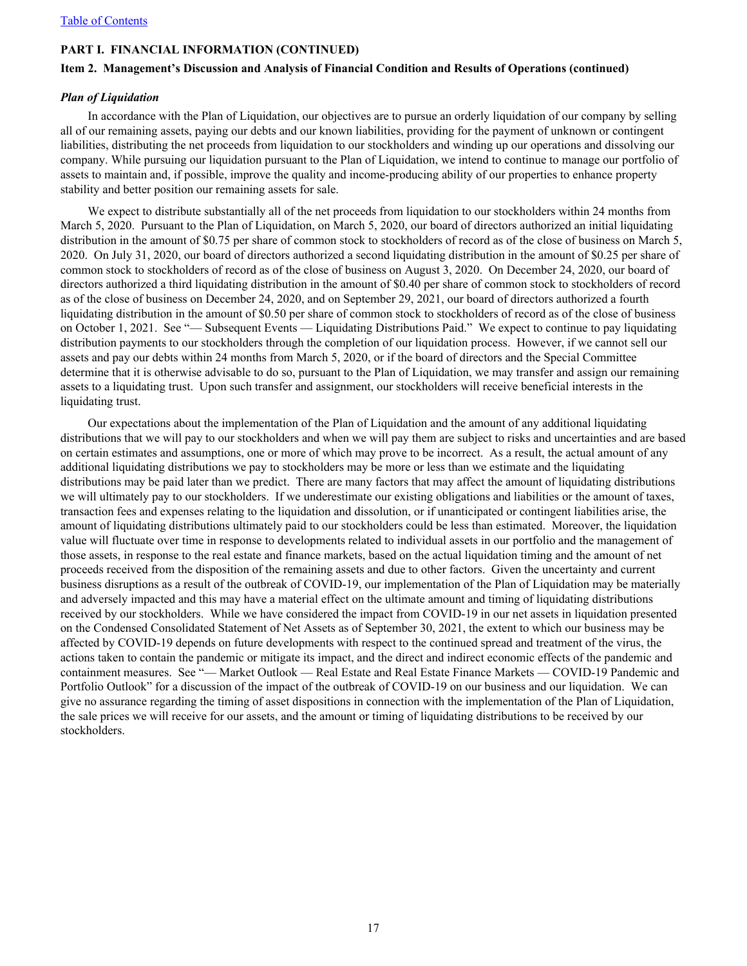### **Item 2. Management's Discussion and Analysis of Financial Condition and Results of Operations (continued)**

#### *Plan of Liquidation*

In accordance with the Plan of Liquidation, our objectives are to pursue an orderly liquidation of our company by selling all of our remaining assets, paying our debts and our known liabilities, providing for the payment of unknown or contingent liabilities, distributing the net proceeds from liquidation to our stockholders and winding up our operations and dissolving our company. While pursuing our liquidation pursuant to the Plan of Liquidation, we intend to continue to manage our portfolio of assets to maintain and, if possible, improve the quality and income-producing ability of our properties to enhance property stability and better position our remaining assets for sale.

We expect to distribute substantially all of the net proceeds from liquidation to our stockholders within 24 months from March 5, 2020. Pursuant to the Plan of Liquidation, on March 5, 2020, our board of directors authorized an initial liquidating distribution in the amount of \$0.75 per share of common stock to stockholders of record as of the close of business on March 5, 2020. On July 31, 2020, our board of directors authorized a second liquidating distribution in the amount of \$0.25 per share of common stock to stockholders of record as of the close of business on August 3, 2020. On December 24, 2020, our board of directors authorized a third liquidating distribution in the amount of \$0.40 per share of common stock to stockholders of record as of the close of business on December 24, 2020, and on September 29, 2021, our board of directors authorized a fourth liquidating distribution in the amount of \$0.50 per share of common stock to stockholders of record as of the close of business on October 1, 2021. See "— Subsequent Events — Liquidating Distributions Paid." We expect to continue to pay liquidating distribution payments to our stockholders through the completion of our liquidation process. However, if we cannot sell our assets and pay our debts within 24 months from March 5, 2020, or if the board of directors and the Special Committee determine that it is otherwise advisable to do so, pursuant to the Plan of Liquidation, we may transfer and assign our remaining assets to a liquidating trust. Upon such transfer and assignment, our stockholders will receive beneficial interests in the liquidating trust.

Our expectations about the implementation of the Plan of Liquidation and the amount of any additional liquidating distributions that we will pay to our stockholders and when we will pay them are subject to risks and uncertainties and are based on certain estimates and assumptions, one or more of which may prove to be incorrect. As a result, the actual amount of any additional liquidating distributions we pay to stockholders may be more or less than we estimate and the liquidating distributions may be paid later than we predict. There are many factors that may affect the amount of liquidating distributions we will ultimately pay to our stockholders. If we underestimate our existing obligations and liabilities or the amount of taxes, transaction fees and expenses relating to the liquidation and dissolution, or if unanticipated or contingent liabilities arise, the amount of liquidating distributions ultimately paid to our stockholders could be less than estimated. Moreover, the liquidation value will fluctuate over time in response to developments related to individual assets in our portfolio and the management of those assets, in response to the real estate and finance markets, based on the actual liquidation timing and the amount of net proceeds received from the disposition of the remaining assets and due to other factors. Given the uncertainty and current business disruptions as a result of the outbreak of COVID-19, our implementation of the Plan of Liquidation may be materially and adversely impacted and this may have a material effect on the ultimate amount and timing of liquidating distributions received by our stockholders. While we have considered the impact from COVID-19 in our net assets in liquidation presented on the Condensed Consolidated Statement of Net Assets as of September 30, 2021, the extent to which our business may be affected by COVID-19 depends on future developments with respect to the continued spread and treatment of the virus, the actions taken to contain the pandemic or mitigate its impact, and the direct and indirect economic effects of the pandemic and containment measures. See "— Market Outlook — Real Estate and Real Estate Finance Markets — COVID-19 Pandemic and Portfolio Outlook" for a discussion of the impact of the outbreak of COVID-19 on our business and our liquidation. We can give no assurance regarding the timing of asset dispositions in connection with the implementation of the Plan of Liquidation, the sale prices we will receive for our assets, and the amount or timing of liquidating distributions to be received by our stockholders.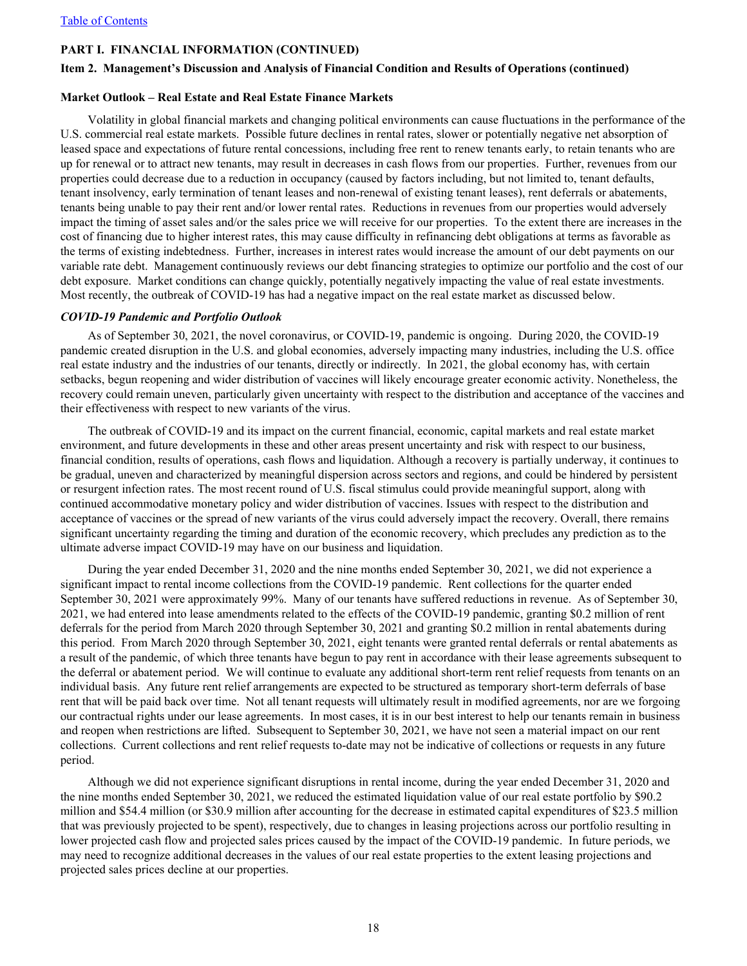#### **Item 2. Management's Discussion and Analysis of Financial Condition and Results of Operations (continued)**

#### **Market Outlook – Real Estate and Real Estate Finance Markets**

Volatility in global financial markets and changing political environments can cause fluctuations in the performance of the U.S. commercial real estate markets. Possible future declines in rental rates, slower or potentially negative net absorption of leased space and expectations of future rental concessions, including free rent to renew tenants early, to retain tenants who are up for renewal or to attract new tenants, may result in decreases in cash flows from our properties. Further, revenues from our properties could decrease due to a reduction in occupancy (caused by factors including, but not limited to, tenant defaults, tenant insolvency, early termination of tenant leases and non-renewal of existing tenant leases), rent deferrals or abatements, tenants being unable to pay their rent and/or lower rental rates. Reductions in revenues from our properties would adversely impact the timing of asset sales and/or the sales price we will receive for our properties. To the extent there are increases in the cost of financing due to higher interest rates, this may cause difficulty in refinancing debt obligations at terms as favorable as the terms of existing indebtedness. Further, increases in interest rates would increase the amount of our debt payments on our variable rate debt. Management continuously reviews our debt financing strategies to optimize our portfolio and the cost of our debt exposure. Market conditions can change quickly, potentially negatively impacting the value of real estate investments. Most recently, the outbreak of COVID-19 has had a negative impact on the real estate market as discussed below.

#### *COVID-19 Pandemic and Portfolio Outlook*

As of September 30, 2021, the novel coronavirus, or COVID-19, pandemic is ongoing. During 2020, the COVID-19 pandemic created disruption in the U.S. and global economies, adversely impacting many industries, including the U.S. office real estate industry and the industries of our tenants, directly or indirectly. In 2021, the global economy has, with certain setbacks, begun reopening and wider distribution of vaccines will likely encourage greater economic activity. Nonetheless, the recovery could remain uneven, particularly given uncertainty with respect to the distribution and acceptance of the vaccines and their effectiveness with respect to new variants of the virus.

The outbreak of COVID-19 and its impact on the current financial, economic, capital markets and real estate market environment, and future developments in these and other areas present uncertainty and risk with respect to our business, financial condition, results of operations, cash flows and liquidation. Although a recovery is partially underway, it continues to be gradual, uneven and characterized by meaningful dispersion across sectors and regions, and could be hindered by persistent or resurgent infection rates. The most recent round of U.S. fiscal stimulus could provide meaningful support, along with continued accommodative monetary policy and wider distribution of vaccines. Issues with respect to the distribution and acceptance of vaccines or the spread of new variants of the virus could adversely impact the recovery. Overall, there remains significant uncertainty regarding the timing and duration of the economic recovery, which precludes any prediction as to the ultimate adverse impact COVID-19 may have on our business and liquidation.

During the year ended December 31, 2020 and the nine months ended September 30, 2021, we did not experience a significant impact to rental income collections from the COVID-19 pandemic. Rent collections for the quarter ended September 30, 2021 were approximately 99%. Many of our tenants have suffered reductions in revenue. As of September 30, 2021, we had entered into lease amendments related to the effects of the COVID-19 pandemic, granting \$0.2 million of rent deferrals for the period from March 2020 through September 30, 2021 and granting \$0.2 million in rental abatements during this period. From March 2020 through September 30, 2021, eight tenants were granted rental deferrals or rental abatements as a result of the pandemic, of which three tenants have begun to pay rent in accordance with their lease agreements subsequent to the deferral or abatement period. We will continue to evaluate any additional short-term rent relief requests from tenants on an individual basis. Any future rent relief arrangements are expected to be structured as temporary short-term deferrals of base rent that will be paid back over time. Not all tenant requests will ultimately result in modified agreements, nor are we forgoing our contractual rights under our lease agreements. In most cases, it is in our best interest to help our tenants remain in business and reopen when restrictions are lifted. Subsequent to September 30, 2021, we have not seen a material impact on our rent collections. Current collections and rent relief requests to-date may not be indicative of collections or requests in any future period.

Although we did not experience significant disruptions in rental income, during the year ended December 31, 2020 and the nine months ended September 30, 2021, we reduced the estimated liquidation value of our real estate portfolio by \$90.2 million and \$54.4 million (or \$30.9 million after accounting for the decrease in estimated capital expenditures of \$23.5 million that was previously projected to be spent), respectively, due to changes in leasing projections across our portfolio resulting in lower projected cash flow and projected sales prices caused by the impact of the COVID-19 pandemic. In future periods, we may need to recognize additional decreases in the values of our real estate properties to the extent leasing projections and projected sales prices decline at our properties.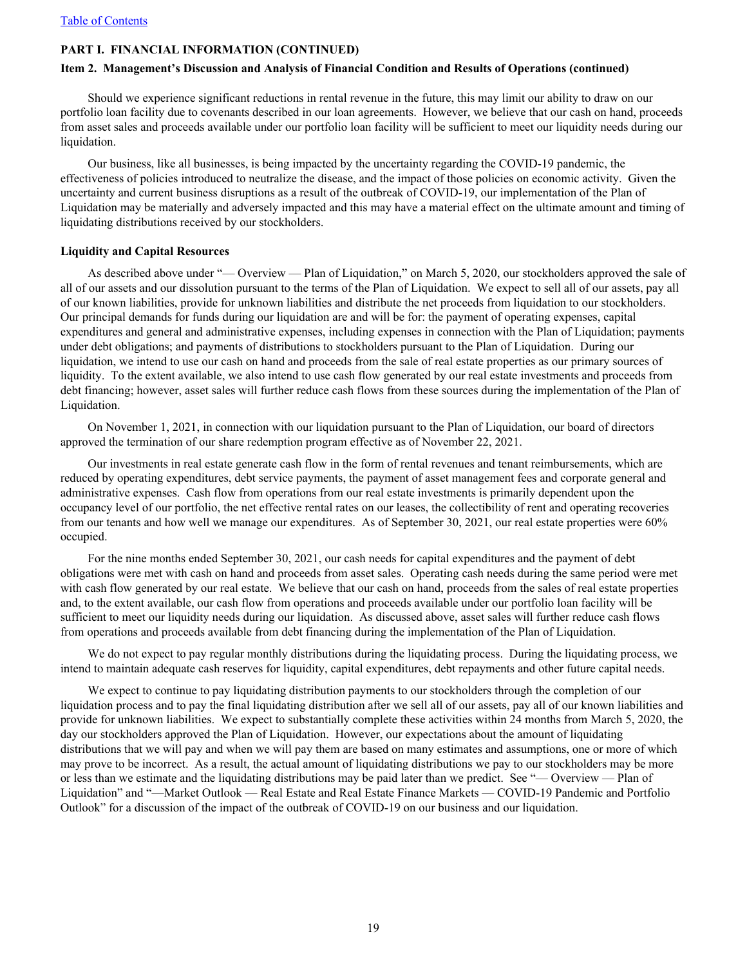## **Item 2. Management's Discussion and Analysis of Financial Condition and Results of Operations (continued)**

Should we experience significant reductions in rental revenue in the future, this may limit our ability to draw on our portfolio loan facility due to covenants described in our loan agreements. However, we believe that our cash on hand, proceeds from asset sales and proceeds available under our portfolio loan facility will be sufficient to meet our liquidity needs during our liquidation.

Our business, like all businesses, is being impacted by the uncertainty regarding the COVID-19 pandemic, the effectiveness of policies introduced to neutralize the disease, and the impact of those policies on economic activity. Given the uncertainty and current business disruptions as a result of the outbreak of COVID-19, our implementation of the Plan of Liquidation may be materially and adversely impacted and this may have a material effect on the ultimate amount and timing of liquidating distributions received by our stockholders.

#### **Liquidity and Capital Resources**

As described above under "— Overview — Plan of Liquidation," on March 5, 2020, our stockholders approved the sale of all of our assets and our dissolution pursuant to the terms of the Plan of Liquidation. We expect to sell all of our assets, pay all of our known liabilities, provide for unknown liabilities and distribute the net proceeds from liquidation to our stockholders. Our principal demands for funds during our liquidation are and will be for: the payment of operating expenses, capital expenditures and general and administrative expenses, including expenses in connection with the Plan of Liquidation; payments under debt obligations; and payments of distributions to stockholders pursuant to the Plan of Liquidation. During our liquidation, we intend to use our cash on hand and proceeds from the sale of real estate properties as our primary sources of liquidity. To the extent available, we also intend to use cash flow generated by our real estate investments and proceeds from debt financing; however, asset sales will further reduce cash flows from these sources during the implementation of the Plan of Liquidation.

On November 1, 2021, in connection with our liquidation pursuant to the Plan of Liquidation, our board of directors approved the termination of our share redemption program effective as of November 22, 2021.

Our investments in real estate generate cash flow in the form of rental revenues and tenant reimbursements, which are reduced by operating expenditures, debt service payments, the payment of asset management fees and corporate general and administrative expenses. Cash flow from operations from our real estate investments is primarily dependent upon the occupancy level of our portfolio, the net effective rental rates on our leases, the collectibility of rent and operating recoveries from our tenants and how well we manage our expenditures. As of September 30, 2021, our real estate properties were 60% occupied.

For the nine months ended September 30, 2021, our cash needs for capital expenditures and the payment of debt obligations were met with cash on hand and proceeds from asset sales. Operating cash needs during the same period were met with cash flow generated by our real estate. We believe that our cash on hand, proceeds from the sales of real estate properties and, to the extent available, our cash flow from operations and proceeds available under our portfolio loan facility will be sufficient to meet our liquidity needs during our liquidation. As discussed above, asset sales will further reduce cash flows from operations and proceeds available from debt financing during the implementation of the Plan of Liquidation.

We do not expect to pay regular monthly distributions during the liquidating process. During the liquidating process, we intend to maintain adequate cash reserves for liquidity, capital expenditures, debt repayments and other future capital needs.

We expect to continue to pay liquidating distribution payments to our stockholders through the completion of our liquidation process and to pay the final liquidating distribution after we sell all of our assets, pay all of our known liabilities and provide for unknown liabilities. We expect to substantially complete these activities within 24 months from March 5, 2020, the day our stockholders approved the Plan of Liquidation. However, our expectations about the amount of liquidating distributions that we will pay and when we will pay them are based on many estimates and assumptions, one or more of which may prove to be incorrect. As a result, the actual amount of liquidating distributions we pay to our stockholders may be more or less than we estimate and the liquidating distributions may be paid later than we predict. See "— Overview — Plan of Liquidation" and "—Market Outlook — Real Estate and Real Estate Finance Markets — COVID-19 Pandemic and Portfolio Outlook" for a discussion of the impact of the outbreak of COVID-19 on our business and our liquidation.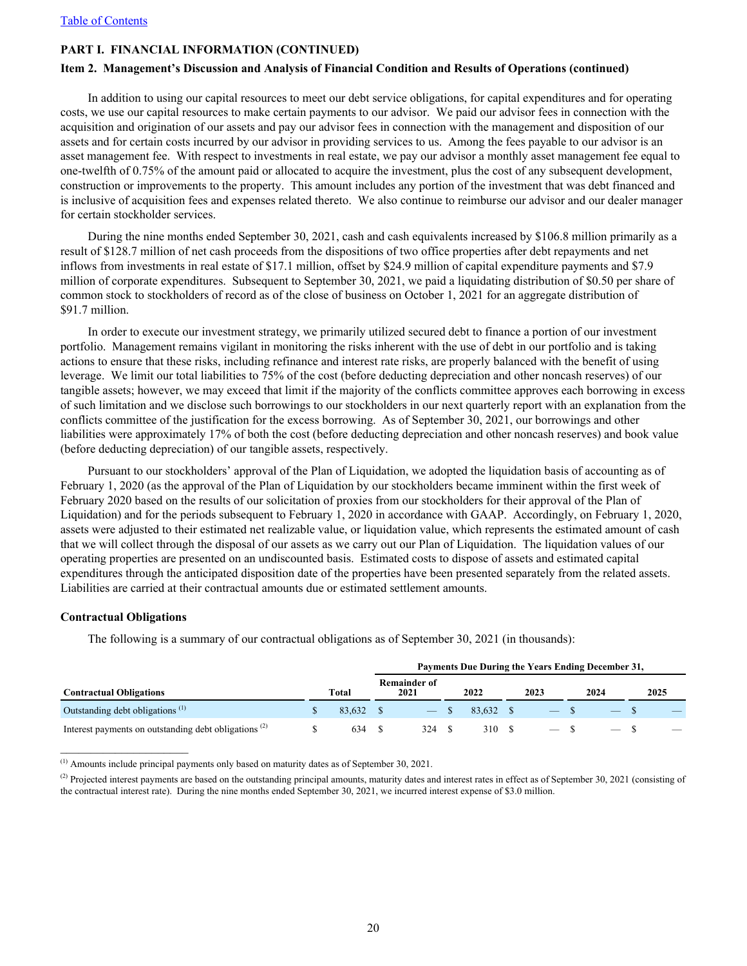## **Item 2. Management's Discussion and Analysis of Financial Condition and Results of Operations (continued)**

In addition to using our capital resources to meet our debt service obligations, for capital expenditures and for operating costs, we use our capital resources to make certain payments to our advisor. We paid our advisor fees in connection with the acquisition and origination of our assets and pay our advisor fees in connection with the management and disposition of our assets and for certain costs incurred by our advisor in providing services to us. Among the fees payable to our advisor is an asset management fee. With respect to investments in real estate, we pay our advisor a monthly asset management fee equal to one-twelfth of 0.75% of the amount paid or allocated to acquire the investment, plus the cost of any subsequent development, construction or improvements to the property. This amount includes any portion of the investment that was debt financed and is inclusive of acquisition fees and expenses related thereto. We also continue to reimburse our advisor and our dealer manager for certain stockholder services.

During the nine months ended September 30, 2021, cash and cash equivalents increased by \$106.8 million primarily as a result of \$128.7 million of net cash proceeds from the dispositions of two office properties after debt repayments and net inflows from investments in real estate of \$17.1 million, offset by \$24.9 million of capital expenditure payments and \$7.9 million of corporate expenditures. Subsequent to September 30, 2021, we paid a liquidating distribution of \$0.50 per share of common stock to stockholders of record as of the close of business on October 1, 2021 for an aggregate distribution of \$91.7 million.

In order to execute our investment strategy, we primarily utilized secured debt to finance a portion of our investment portfolio. Management remains vigilant in monitoring the risks inherent with the use of debt in our portfolio and is taking actions to ensure that these risks, including refinance and interest rate risks, are properly balanced with the benefit of using leverage. We limit our total liabilities to 75% of the cost (before deducting depreciation and other noncash reserves) of our tangible assets; however, we may exceed that limit if the majority of the conflicts committee approves each borrowing in excess of such limitation and we disclose such borrowings to our stockholders in our next quarterly report with an explanation from the conflicts committee of the justification for the excess borrowing. As of September 30, 2021, our borrowings and other liabilities were approximately 17% of both the cost (before deducting depreciation and other noncash reserves) and book value (before deducting depreciation) of our tangible assets, respectively.

Pursuant to our stockholders' approval of the Plan of Liquidation, we adopted the liquidation basis of accounting as of February 1, 2020 (as the approval of the Plan of Liquidation by our stockholders became imminent within the first week of February 2020 based on the results of our solicitation of proxies from our stockholders for their approval of the Plan of Liquidation) and for the periods subsequent to February 1, 2020 in accordance with GAAP. Accordingly, on February 1, 2020, assets were adjusted to their estimated net realizable value, or liquidation value, which represents the estimated amount of cash that we will collect through the disposal of our assets as we carry out our Plan of Liquidation. The liquidation values of our operating properties are presented on an undiscounted basis. Estimated costs to dispose of assets and estimated capital expenditures through the anticipated disposition date of the properties have been presented separately from the related assets. Liabilities are carried at their contractual amounts due or estimated settlement amounts.

#### **Contractual Obligations**

 $\mathcal{L}_\text{max}$  , where  $\mathcal{L}_\text{max}$  and  $\mathcal{L}_\text{max}$ 

The following is a summary of our contractual obligations as of September 30, 2021 (in thousands):

|                                                                  | Payments Due During the Years Ending December 31, |           |  |                             |      |           |      |  |      |                          |      |  |
|------------------------------------------------------------------|---------------------------------------------------|-----------|--|-----------------------------|------|-----------|------|--|------|--------------------------|------|--|
| <b>Contractual Obligations</b>                                   | Total                                             |           |  | <b>Remainder of</b><br>2021 | 2022 |           | 2023 |  | 2024 |                          | 2025 |  |
| Outstanding debt obligations <sup>(1)</sup>                      |                                                   | 83,632 \$ |  |                             |      | 83.632 \$ |      |  |      |                          |      |  |
| Interest payments on outstanding debt obligations <sup>(2)</sup> |                                                   | 634       |  | 324                         |      | 310 S     |      |  |      | $\overline{\phantom{a}}$ |      |  |

(1) Amounts include principal payments only based on maturity dates as of September 30, 2021.

 $^{(2)}$  Projected interest payments are based on the outstanding principal amounts, maturity dates and interest rates in effect as of September 30, 2021 (consisting of the contractual interest rate). During the nine months ended September 30, 2021, we incurred interest expense of \$3.0 million.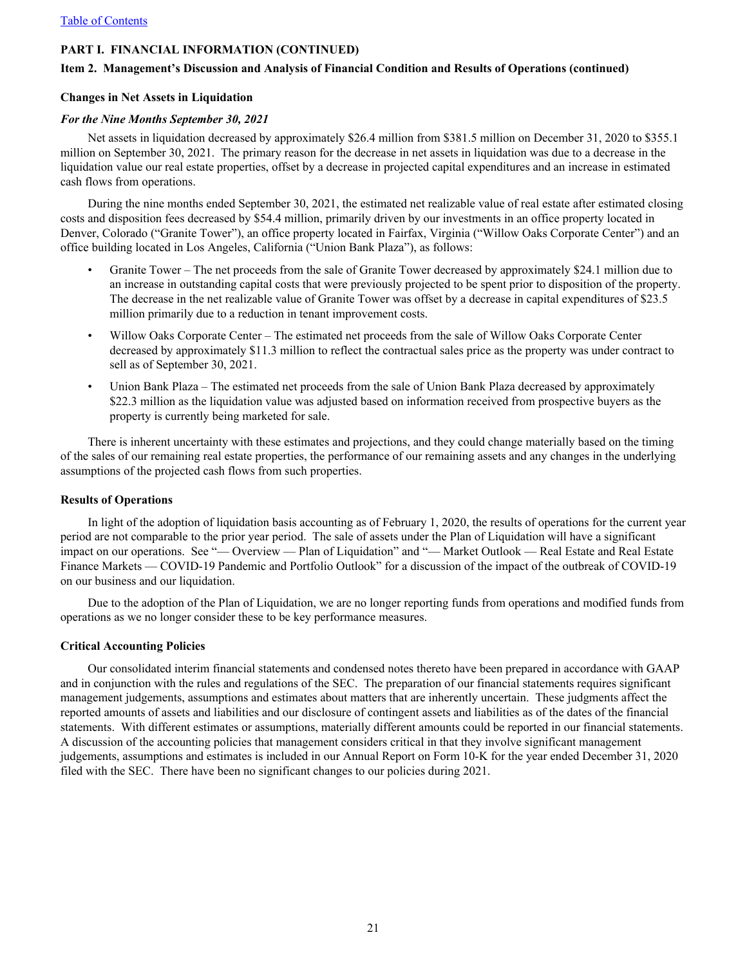### **Item 2. Management's Discussion and Analysis of Financial Condition and Results of Operations (continued)**

#### **Changes in Net Assets in Liquidation**

#### *For the Nine Months September 30, 2021*

Net assets in liquidation decreased by approximately \$26.4 million from \$381.5 million on December 31, 2020 to \$355.1 million on September 30, 2021. The primary reason for the decrease in net assets in liquidation was due to a decrease in the liquidation value our real estate properties, offset by a decrease in projected capital expenditures and an increase in estimated cash flows from operations.

During the nine months ended September 30, 2021, the estimated net realizable value of real estate after estimated closing costs and disposition fees decreased by \$54.4 million, primarily driven by our investments in an office property located in Denver, Colorado ("Granite Tower"), an office property located in Fairfax, Virginia ("Willow Oaks Corporate Center") and an office building located in Los Angeles, California ("Union Bank Plaza"), as follows:

- Granite Tower The net proceeds from the sale of Granite Tower decreased by approximately \$24.1 million due to an increase in outstanding capital costs that were previously projected to be spent prior to disposition of the property. The decrease in the net realizable value of Granite Tower was offset by a decrease in capital expenditures of \$23.5 million primarily due to a reduction in tenant improvement costs.
- Willow Oaks Corporate Center The estimated net proceeds from the sale of Willow Oaks Corporate Center decreased by approximately \$11.3 million to reflect the contractual sales price as the property was under contract to sell as of September 30, 2021.
- Union Bank Plaza The estimated net proceeds from the sale of Union Bank Plaza decreased by approximately \$22.3 million as the liquidation value was adjusted based on information received from prospective buyers as the property is currently being marketed for sale.

There is inherent uncertainty with these estimates and projections, and they could change materially based on the timing of the sales of our remaining real estate properties, the performance of our remaining assets and any changes in the underlying assumptions of the projected cash flows from such properties.

#### **Results of Operations**

In light of the adoption of liquidation basis accounting as of February 1, 2020, the results of operations for the current year period are not comparable to the prior year period. The sale of assets under the Plan of Liquidation will have a significant impact on our operations. See "— Overview — Plan of Liquidation" and "— Market Outlook — Real Estate and Real Estate Finance Markets — COVID-19 Pandemic and Portfolio Outlook" for a discussion of the impact of the outbreak of COVID-19 on our business and our liquidation.

Due to the adoption of the Plan of Liquidation, we are no longer reporting funds from operations and modified funds from operations as we no longer consider these to be key performance measures.

#### **Critical Accounting Policies**

Our consolidated interim financial statements and condensed notes thereto have been prepared in accordance with GAAP and in conjunction with the rules and regulations of the SEC. The preparation of our financial statements requires significant management judgements, assumptions and estimates about matters that are inherently uncertain. These judgments affect the reported amounts of assets and liabilities and our disclosure of contingent assets and liabilities as of the dates of the financial statements. With different estimates or assumptions, materially different amounts could be reported in our financial statements. A discussion of the accounting policies that management considers critical in that they involve significant management judgements, assumptions and estimates is included in our Annual Report on Form 10-K for the year ended December 31, 2020 filed with the SEC. There have been no significant changes to our policies during 2021.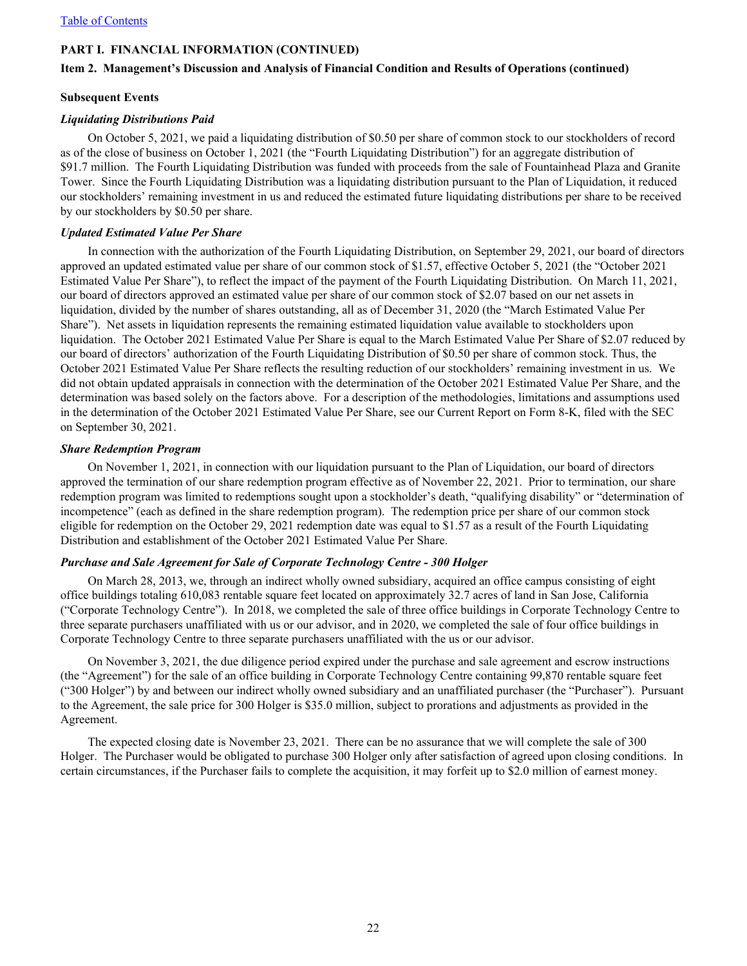## **Item 2. Management's Discussion and Analysis of Financial Condition and Results of Operations (continued)**

#### **Subsequent Events**

#### *Liquidating Distributions Paid*

On October 5, 2021, we paid a liquidating distribution of \$0.50 per share of common stock to our stockholders of record as of the close of business on October 1, 2021 (the "Fourth Liquidating Distribution") for an aggregate distribution of \$91.7 million. The Fourth Liquidating Distribution was funded with proceeds from the sale of Fountainhead Plaza and Granite Tower. Since the Fourth Liquidating Distribution was a liquidating distribution pursuant to the Plan of Liquidation, it reduced our stockholders' remaining investment in us and reduced the estimated future liquidating distributions per share to be received by our stockholders by \$0.50 per share.

#### *Updated Estimated Value Per Share*

In connection with the authorization of the Fourth Liquidating Distribution, on September 29, 2021, our board of directors approved an updated estimated value per share of our common stock of \$1.57, effective October 5, 2021 (the "October 2021 Estimated Value Per Share"), to reflect the impact of the payment of the Fourth Liquidating Distribution. On March 11, 2021, our board of directors approved an estimated value per share of our common stock of \$2.07 based on our net assets in liquidation, divided by the number of shares outstanding, all as of December 31, 2020 (the "March Estimated Value Per Share"). Net assets in liquidation represents the remaining estimated liquidation value available to stockholders upon liquidation. The October 2021 Estimated Value Per Share is equal to the March Estimated Value Per Share of \$2.07 reduced by our board of directors' authorization of the Fourth Liquidating Distribution of \$0.50 per share of common stock. Thus, the October 2021 Estimated Value Per Share reflects the resulting reduction of our stockholders' remaining investment in us. We did not obtain updated appraisals in connection with the determination of the October 2021 Estimated Value Per Share, and the determination was based solely on the factors above. For a description of the methodologies, limitations and assumptions used in the determination of the October 2021 Estimated Value Per Share, see our Current Report on Form 8-K, filed with the SEC on September 30, 2021.

#### *Share Redemption Program*

On November 1, 2021, in connection with our liquidation pursuant to the Plan of Liquidation, our board of directors approved the termination of our share redemption program effective as of November 22, 2021. Prior to termination, our share redemption program was limited to redemptions sought upon a stockholder's death, "qualifying disability" or "determination of incompetence" (each as defined in the share redemption program). The redemption price per share of our common stock eligible for redemption on the October 29, 2021 redemption date was equal to \$1.57 as a result of the Fourth Liquidating Distribution and establishment of the October 2021 Estimated Value Per Share.

#### *Purchase and Sale Agreement for Sale of Corporate Technology Centre - 300 Holger*

On March 28, 2013, we, through an indirect wholly owned subsidiary, acquired an office campus consisting of eight office buildings totaling 610,083 rentable square feet located on approximately 32.7 acres of land in San Jose, California ("Corporate Technology Centre"). In 2018, we completed the sale of three office buildings in Corporate Technology Centre to three separate purchasers unaffiliated with us or our advisor, and in 2020, we completed the sale of four office buildings in Corporate Technology Centre to three separate purchasers unaffiliated with the us or our advisor.

On November 3, 2021, the due diligence period expired under the purchase and sale agreement and escrow instructions (the "Agreement") for the sale of an office building in Corporate Technology Centre containing 99,870 rentable square feet ("300 Holger") by and between our indirect wholly owned subsidiary and an unaffiliated purchaser (the "Purchaser"). Pursuant to the Agreement, the sale price for 300 Holger is \$35.0 million, subject to prorations and adjustments as provided in the Agreement.

The expected closing date is November 23, 2021. There can be no assurance that we will complete the sale of 300 Holger. The Purchaser would be obligated to purchase 300 Holger only after satisfaction of agreed upon closing conditions. In certain circumstances, if the Purchaser fails to complete the acquisition, it may forfeit up to \$2.0 million of earnest money.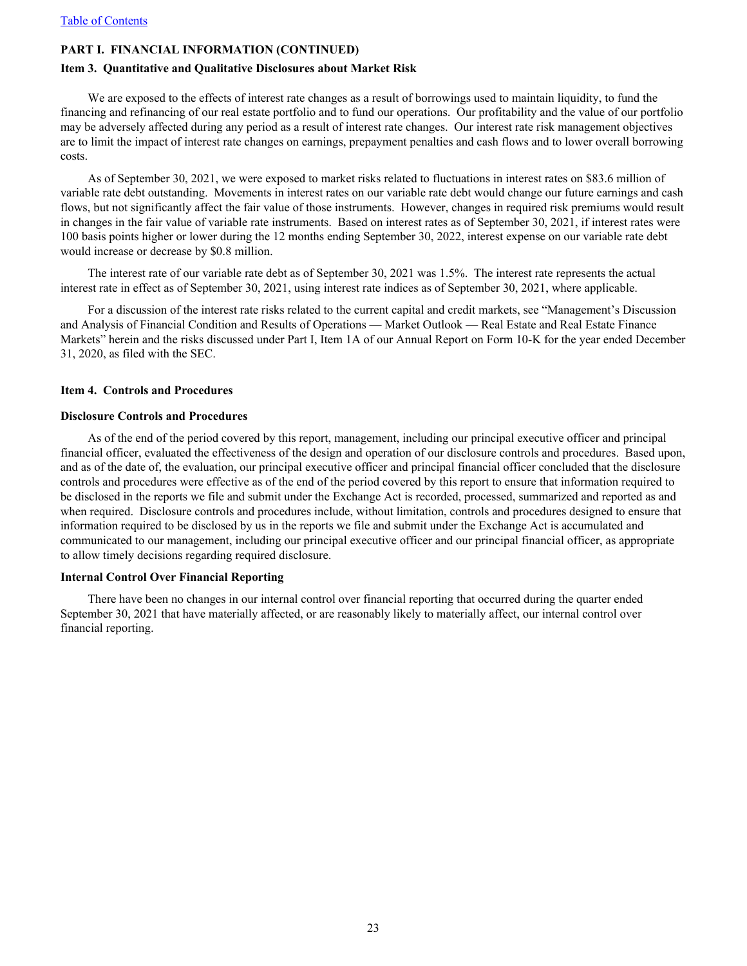#### <span id="page-23-0"></span>**Item 3. Quantitative and Qualitative Disclosures about Market Risk**

We are exposed to the effects of interest rate changes as a result of borrowings used to maintain liquidity, to fund the financing and refinancing of our real estate portfolio and to fund our operations. Our profitability and the value of our portfolio may be adversely affected during any period as a result of interest rate changes. Our interest rate risk management objectives are to limit the impact of interest rate changes on earnings, prepayment penalties and cash flows and to lower overall borrowing costs.

As of September 30, 2021, we were exposed to market risks related to fluctuations in interest rates on \$83.6 million of variable rate debt outstanding. Movements in interest rates on our variable rate debt would change our future earnings and cash flows, but not significantly affect the fair value of those instruments. However, changes in required risk premiums would result in changes in the fair value of variable rate instruments. Based on interest rates as of September 30, 2021, if interest rates were 100 basis points higher or lower during the 12 months ending September 30, 2022, interest expense on our variable rate debt would increase or decrease by \$0.8 million.

The interest rate of our variable rate debt as of September 30, 2021 was 1.5%. The interest rate represents the actual interest rate in effect as of September 30, 2021, using interest rate indices as of September 30, 2021, where applicable.

For a discussion of the interest rate risks related to the current capital and credit markets, see "Management's Discussion and Analysis of Financial Condition and Results of Operations — Market Outlook — Real Estate and Real Estate Finance Markets" herein and the risks discussed under Part I, Item 1A of our Annual Report on Form 10-K for the year ended December 31, 2020, as filed with the SEC.

#### **Item 4. Controls and Procedures**

#### **Disclosure Controls and Procedures**

As of the end of the period covered by this report, management, including our principal executive officer and principal financial officer, evaluated the effectiveness of the design and operation of our disclosure controls and procedures. Based upon, and as of the date of, the evaluation, our principal executive officer and principal financial officer concluded that the disclosure controls and procedures were effective as of the end of the period covered by this report to ensure that information required to be disclosed in the reports we file and submit under the Exchange Act is recorded, processed, summarized and reported as and when required. Disclosure controls and procedures include, without limitation, controls and procedures designed to ensure that information required to be disclosed by us in the reports we file and submit under the Exchange Act is accumulated and communicated to our management, including our principal executive officer and our principal financial officer, as appropriate to allow timely decisions regarding required disclosure.

#### **Internal Control Over Financial Reporting**

There have been no changes in our internal control over financial reporting that occurred during the quarter ended September 30, 2021 that have materially affected, or are reasonably likely to materially affect, our internal control over financial reporting.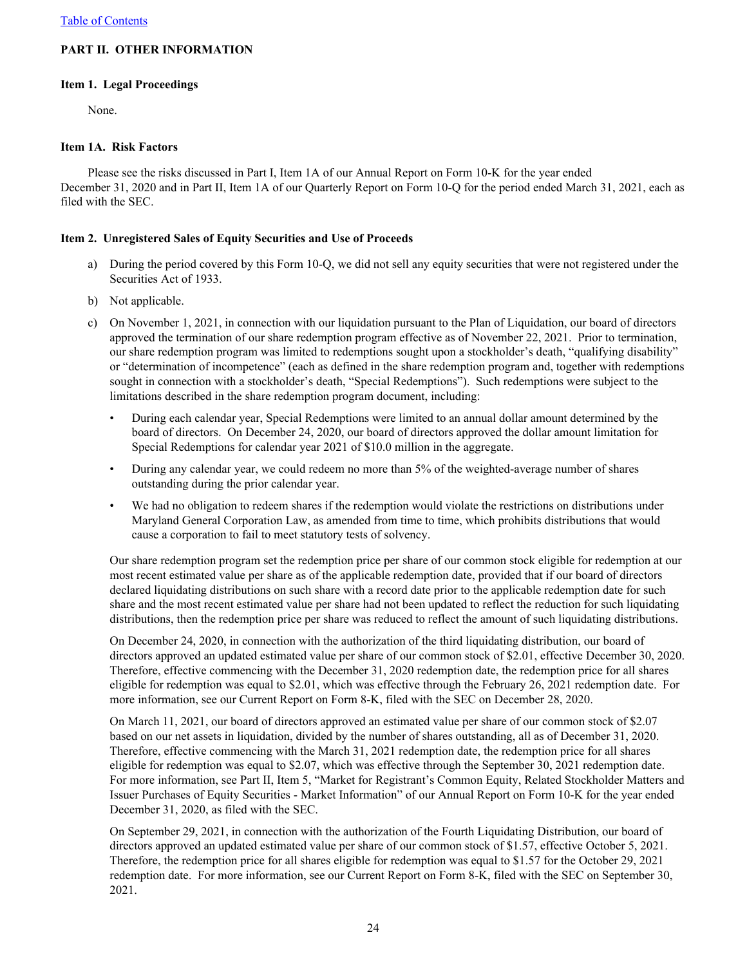## <span id="page-24-0"></span>**PART II. OTHER INFORMATION**

### **Item 1. Legal Proceedings**

None.

#### **Item 1A. Risk Factors**

Please see the risks discussed in Part I, Item 1A of our Annual Report on Form 10-K for the year ended December 31, 2020 and in Part II, Item 1A of our Quarterly Report on Form 10-Q for the period ended March 31, 2021, each as filed with the SEC.

#### **Item 2. Unregistered Sales of Equity Securities and Use of Proceeds**

- a) During the period covered by this Form 10-Q, we did not sell any equity securities that were not registered under the Securities Act of 1933.
- b) Not applicable.
- c) On November 1, 2021, in connection with our liquidation pursuant to the Plan of Liquidation, our board of directors approved the termination of our share redemption program effective as of November 22, 2021. Prior to termination, our share redemption program was limited to redemptions sought upon a stockholder's death, "qualifying disability" or "determination of incompetence" (each as defined in the share redemption program and, together with redemptions sought in connection with a stockholder's death, "Special Redemptions"). Such redemptions were subject to the limitations described in the share redemption program document, including:
	- During each calendar year, Special Redemptions were limited to an annual dollar amount determined by the board of directors. On December 24, 2020, our board of directors approved the dollar amount limitation for Special Redemptions for calendar year 2021 of \$10.0 million in the aggregate.
	- During any calendar year, we could redeem no more than 5% of the weighted-average number of shares outstanding during the prior calendar year.
	- We had no obligation to redeem shares if the redemption would violate the restrictions on distributions under Maryland General Corporation Law, as amended from time to time, which prohibits distributions that would cause a corporation to fail to meet statutory tests of solvency.

Our share redemption program set the redemption price per share of our common stock eligible for redemption at our most recent estimated value per share as of the applicable redemption date, provided that if our board of directors declared liquidating distributions on such share with a record date prior to the applicable redemption date for such share and the most recent estimated value per share had not been updated to reflect the reduction for such liquidating distributions, then the redemption price per share was reduced to reflect the amount of such liquidating distributions.

On December 24, 2020, in connection with the authorization of the third liquidating distribution, our board of directors approved an updated estimated value per share of our common stock of \$2.01, effective December 30, 2020. Therefore, effective commencing with the December 31, 2020 redemption date, the redemption price for all shares eligible for redemption was equal to \$2.01, which was effective through the February 26, 2021 redemption date. For more information, see our Current Report on Form 8-K, filed with the SEC on December 28, 2020.

On March 11, 2021, our board of directors approved an estimated value per share of our common stock of \$2.07 based on our net assets in liquidation, divided by the number of shares outstanding, all as of December 31, 2020. Therefore, effective commencing with the March 31, 2021 redemption date, the redemption price for all shares eligible for redemption was equal to \$2.07, which was effective through the September 30, 2021 redemption date. For more information, see Part II, Item 5, "Market for Registrant's Common Equity, Related Stockholder Matters and Issuer Purchases of Equity Securities - Market Information" of our Annual Report on Form 10-K for the year ended December 31, 2020, as filed with the SEC.

On September 29, 2021, in connection with the authorization of the Fourth Liquidating Distribution, our board of directors approved an updated estimated value per share of our common stock of \$1.57, effective October 5, 2021. Therefore, the redemption price for all shares eligible for redemption was equal to \$1.57 for the October 29, 2021 redemption date. For more information, see our Current Report on Form 8-K, filed with the SEC on September 30, 2021.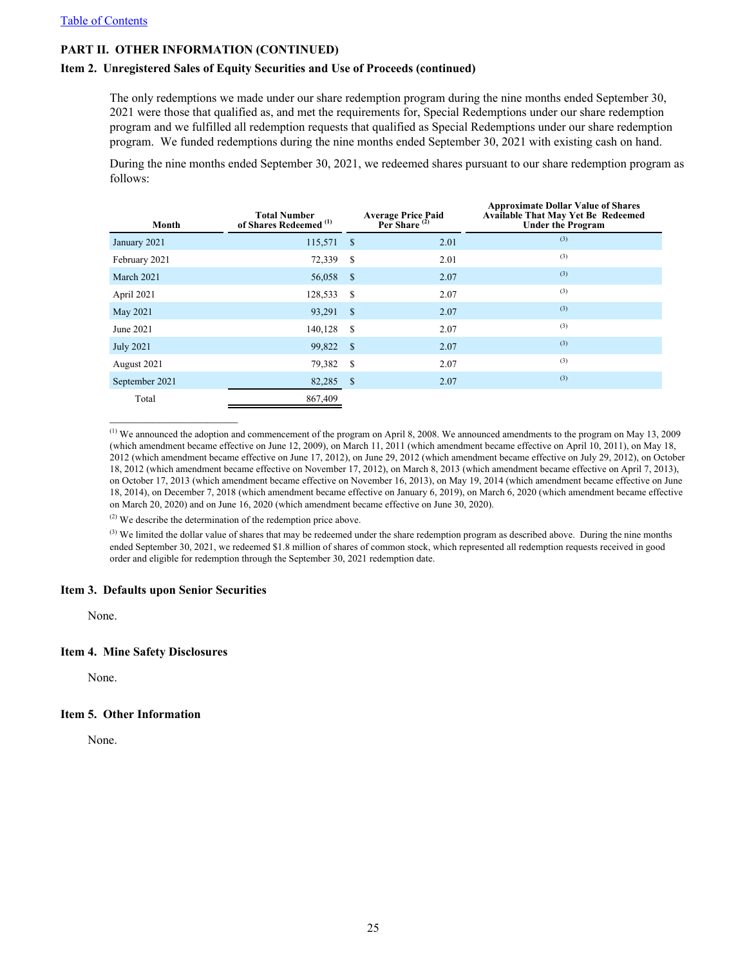## <span id="page-25-0"></span>**PART II. OTHER INFORMATION (CONTINUED)**

### **Item 2. Unregistered Sales of Equity Securities and Use of Proceeds (continued)**

The only redemptions we made under our share redemption program during the nine months ended September 30, 2021 were those that qualified as, and met the requirements for, Special Redemptions under our share redemption program and we fulfilled all redemption requests that qualified as Special Redemptions under our share redemption program. We funded redemptions during the nine months ended September 30, 2021 with existing cash on hand.

During the nine months ended September 30, 2021, we redeemed shares pursuant to our share redemption program as follows:

| Month            | <b>Total Number</b><br>of Shares Redeemed <sup>(1)</sup> |               | <b>Average Price Paid<br/>Per Share</b> <sup>(2)</sup> | <b>Approximate Dollar Value of Shares</b><br>Available That May Yet Be Redeemed<br><b>Under the Program</b> |
|------------------|----------------------------------------------------------|---------------|--------------------------------------------------------|-------------------------------------------------------------------------------------------------------------|
| January 2021     | 115,571                                                  | <sup>\$</sup> | 2.01                                                   | (3)                                                                                                         |
| February 2021    | 72,339                                                   | <sup>\$</sup> | 2.01                                                   | (3)                                                                                                         |
| March 2021       | 56,058                                                   | - \$          | 2.07                                                   | (3)                                                                                                         |
| April 2021       | 128,533                                                  | -S            | 2.07                                                   | (3)                                                                                                         |
| May 2021         | 93,291                                                   | <sup>\$</sup> | 2.07                                                   | (3)                                                                                                         |
| June 2021        | 140,128                                                  | -S            | 2.07                                                   | (3)                                                                                                         |
| <b>July 2021</b> | 99,822                                                   | <sup>S</sup>  | 2.07                                                   | (3)                                                                                                         |
| August 2021      | 79,382                                                   | -S            | 2.07                                                   | (3)                                                                                                         |
| September 2021   | 82,285 \$                                                |               | 2.07                                                   | (3)                                                                                                         |
| Total            | 867,409                                                  |               |                                                        |                                                                                                             |

(1) We announced the adoption and commencement of the program on April 8, 2008. We announced amendments to the program on May 13, 2009 (which amendment became effective on June 12, 2009), on March 11, 2011 (which amendment became effective on April 10, 2011), on May 18, 2012 (which amendment became effective on June 17, 2012), on June 29, 2012 (which amendment became effective on July 29, 2012), on October 18, 2012 (which amendment became effective on November 17, 2012), on March 8, 2013 (which amendment became effective on April 7, 2013), on October 17, 2013 (which amendment became effective on November 16, 2013), on May 19, 2014 (which amendment became effective on June 18, 2014), on December 7, 2018 (which amendment became effective on January 6, 2019), on March 6, 2020 (which amendment became effective on March 20, 2020) and on June 16, 2020 (which amendment became effective on June 30, 2020).

(2) We describe the determination of the redemption price above.

 $<sup>(3)</sup>$  We limited the dollar value of shares that may be redeemed under the share redemption program as described above. During the nine months</sup> ended September 30, 2021, we redeemed \$1.8 million of shares of common stock, which represented all redemption requests received in good order and eligible for redemption through the September 30, 2021 redemption date.

#### **Item 3. Defaults upon Senior Securities**

 $\mathcal{L}_\text{max}$  , where  $\mathcal{L}_\text{max}$  and  $\mathcal{L}_\text{max}$ 

None.

#### **Item 4. Mine Safety Disclosures**

None.

#### **Item 5. Other Information**

None.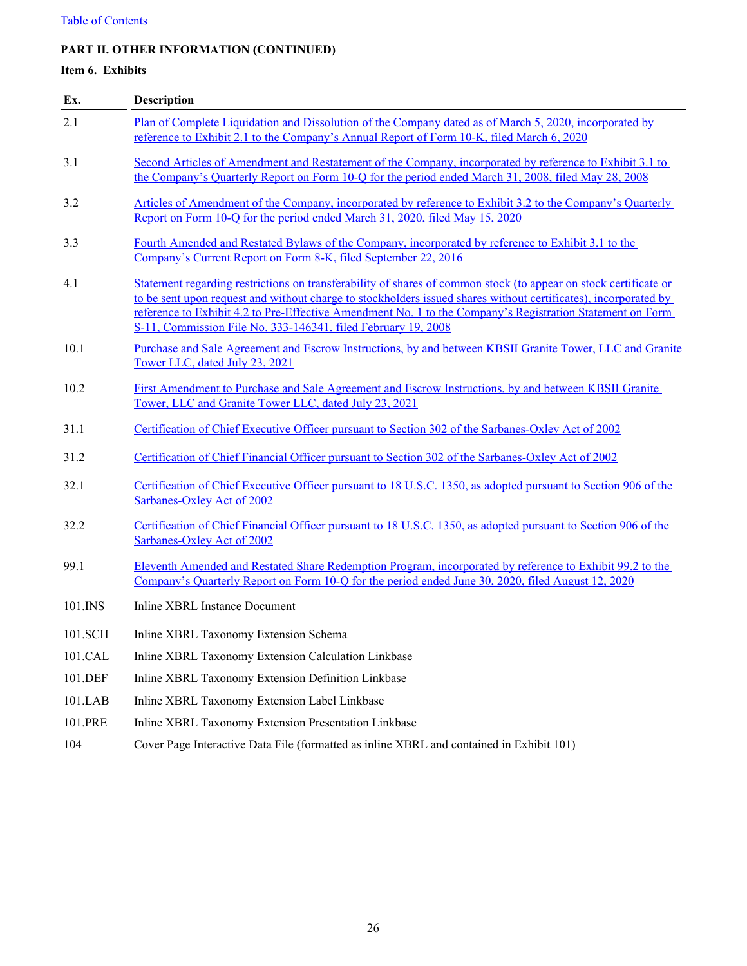## <span id="page-26-0"></span>**PART II. OTHER INFORMATION (CONTINUED)**

## **Item 6. Exhibits**

| Ex.     | Description                                                                                                                                                                                                                                                                                                                                                                                                       |
|---------|-------------------------------------------------------------------------------------------------------------------------------------------------------------------------------------------------------------------------------------------------------------------------------------------------------------------------------------------------------------------------------------------------------------------|
| 2.1     | Plan of Complete Liquidation and Dissolution of the Company dated as of March 5, 2020, incorporated by<br>reference to Exhibit 2.1 to the Company's Annual Report of Form 10-K, filed March 6, 2020                                                                                                                                                                                                               |
| 3.1     | Second Articles of Amendment and Restatement of the Company, incorporated by reference to Exhibit 3.1 to<br>the Company's Quarterly Report on Form 10-Q for the period ended March 31, 2008, filed May 28, 2008                                                                                                                                                                                                   |
| 3.2     | Articles of Amendment of the Company, incorporated by reference to Exhibit 3.2 to the Company's Quarterly<br>Report on Form 10-Q for the period ended March 31, 2020, filed May 15, 2020                                                                                                                                                                                                                          |
| 3.3     | Fourth Amended and Restated Bylaws of the Company, incorporated by reference to Exhibit 3.1 to the<br>Company's Current Report on Form 8-K, filed September 22, 2016                                                                                                                                                                                                                                              |
| 4.1     | Statement regarding restrictions on transferability of shares of common stock (to appear on stock certificate or<br>to be sent upon request and without charge to stockholders issued shares without certificates), incorporated by<br>reference to Exhibit 4.2 to Pre-Effective Amendment No. 1 to the Company's Registration Statement on Form<br>S-11, Commission File No. 333-146341, filed February 19, 2008 |
| 10.1    | Purchase and Sale Agreement and Escrow Instructions, by and between KBSII Granite Tower, LLC and Granite<br>Tower LLC, dated July 23, 2021                                                                                                                                                                                                                                                                        |
| 10.2    | First Amendment to Purchase and Sale Agreement and Escrow Instructions, by and between KBSII Granite<br>Tower, LLC and Granite Tower LLC, dated July 23, 2021                                                                                                                                                                                                                                                     |
| 31.1    | Certification of Chief Executive Officer pursuant to Section 302 of the Sarbanes-Oxley Act of 2002                                                                                                                                                                                                                                                                                                                |
| 31.2    | Certification of Chief Financial Officer pursuant to Section 302 of the Sarbanes-Oxley Act of 2002                                                                                                                                                                                                                                                                                                                |
| 32.1    | Certification of Chief Executive Officer pursuant to 18 U.S.C. 1350, as adopted pursuant to Section 906 of the<br>Sarbanes-Oxley Act of 2002                                                                                                                                                                                                                                                                      |
| 32.2    | Certification of Chief Financial Officer pursuant to 18 U.S.C. 1350, as adopted pursuant to Section 906 of the<br>Sarbanes-Oxley Act of 2002                                                                                                                                                                                                                                                                      |
| 99.1    | Eleventh Amended and Restated Share Redemption Program, incorporated by reference to Exhibit 99.2 to the<br>Company's Quarterly Report on Form 10-Q for the period ended June 30, 2020, filed August 12, 2020                                                                                                                                                                                                     |
| 101.INS | <b>Inline XBRL Instance Document</b>                                                                                                                                                                                                                                                                                                                                                                              |
| 101.SCH | Inline XBRL Taxonomy Extension Schema                                                                                                                                                                                                                                                                                                                                                                             |
| 101.CAL | Inline XBRL Taxonomy Extension Calculation Linkbase                                                                                                                                                                                                                                                                                                                                                               |
| 101.DEF | Inline XBRL Taxonomy Extension Definition Linkbase                                                                                                                                                                                                                                                                                                                                                                |
| 101.LAB | Inline XBRL Taxonomy Extension Label Linkbase                                                                                                                                                                                                                                                                                                                                                                     |
| 101.PRE | Inline XBRL Taxonomy Extension Presentation Linkbase                                                                                                                                                                                                                                                                                                                                                              |

104 Cover Page Interactive Data File (formatted as inline XBRL and contained in Exhibit 101)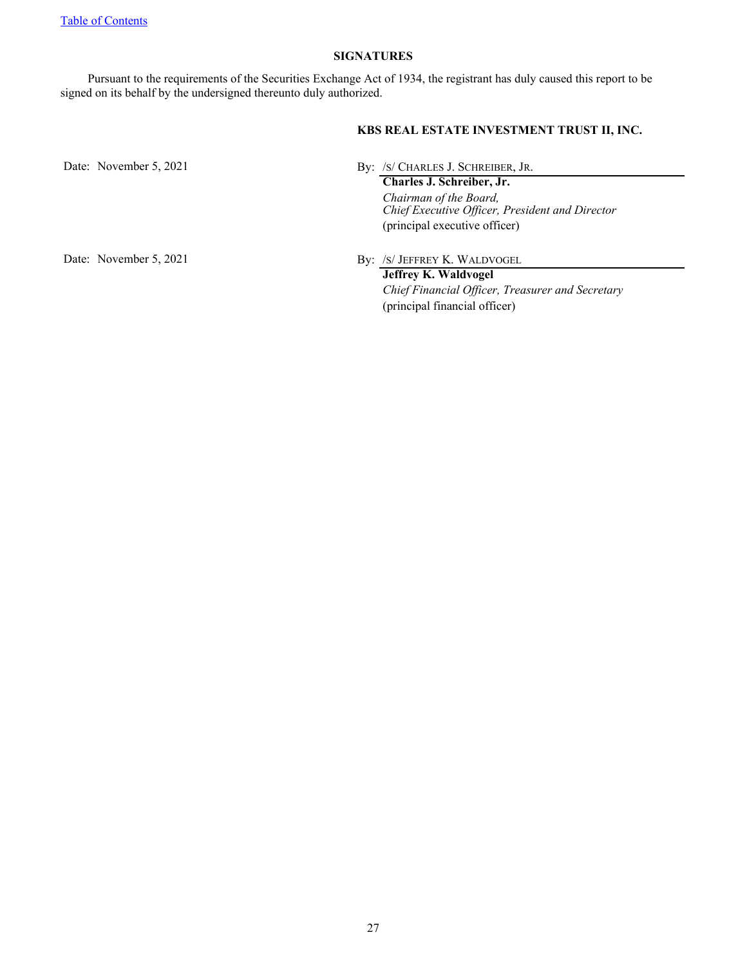## **SIGNATURES**

<span id="page-27-0"></span>Pursuant to the requirements of the Securities Exchange Act of 1934, the registrant has duly caused this report to be signed on its behalf by the undersigned thereunto duly authorized.

## **KBS REAL ESTATE INVESTMENT TRUST II, INC.**

Date: November 5, 2021 By: /S/ CHARLES J. SCHREIBER, JR.

**Charles J. Schreiber, Jr.** *Chairman of the Board, Chief Executive Officer, President and Director* (principal executive officer)

Date: November 5, 2021 By: /S/ JEFFREY K. WALDVOGEL

**Jeffrey K. Waldvogel**

*Chief Financial Officer, Treasurer and Secretary* (principal financial officer)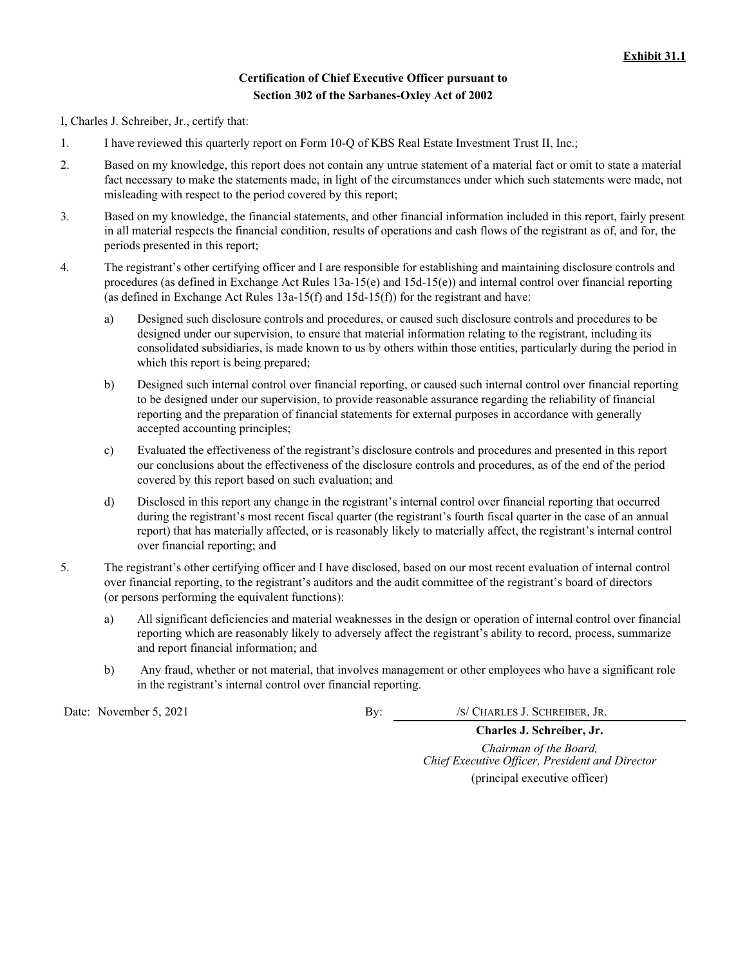## **Certification of Chief Executive Officer pursuant to Section 302 of the Sarbanes-Oxley Act of 2002**

I, Charles J. Schreiber, Jr., certify that:

- 1. I have reviewed this quarterly report on Form 10-Q of KBS Real Estate Investment Trust II, Inc.;
- 2. Based on my knowledge, this report does not contain any untrue statement of a material fact or omit to state a material fact necessary to make the statements made, in light of the circumstances under which such statements were made, not misleading with respect to the period covered by this report;
- 3. Based on my knowledge, the financial statements, and other financial information included in this report, fairly present in all material respects the financial condition, results of operations and cash flows of the registrant as of, and for, the periods presented in this report;
- 4. The registrant's other certifying officer and I are responsible for establishing and maintaining disclosure controls and procedures (as defined in Exchange Act Rules 13a-15(e) and 15d-15(e)) and internal control over financial reporting (as defined in Exchange Act Rules  $13a-15(f)$  and  $15d-15(f)$ ) for the registrant and have:
	- a) Designed such disclosure controls and procedures, or caused such disclosure controls and procedures to be designed under our supervision, to ensure that material information relating to the registrant, including its consolidated subsidiaries, is made known to us by others within those entities, particularly during the period in which this report is being prepared;
	- b) Designed such internal control over financial reporting, or caused such internal control over financial reporting to be designed under our supervision, to provide reasonable assurance regarding the reliability of financial reporting and the preparation of financial statements for external purposes in accordance with generally accepted accounting principles;
	- c) Evaluated the effectiveness of the registrant's disclosure controls and procedures and presented in this report our conclusions about the effectiveness of the disclosure controls and procedures, as of the end of the period covered by this report based on such evaluation; and
	- d) Disclosed in this report any change in the registrant's internal control over financial reporting that occurred during the registrant's most recent fiscal quarter (the registrant's fourth fiscal quarter in the case of an annual report) that has materially affected, or is reasonably likely to materially affect, the registrant's internal control over financial reporting; and
- 5. The registrant's other certifying officer and I have disclosed, based on our most recent evaluation of internal control over financial reporting, to the registrant's auditors and the audit committee of the registrant's board of directors (or persons performing the equivalent functions):
	- a) All significant deficiencies and material weaknesses in the design or operation of internal control over financial reporting which are reasonably likely to adversely affect the registrant's ability to record, process, summarize and report financial information; and
	- b) Any fraud, whether or not material, that involves management or other employees who have a significant role in the registrant's internal control over financial reporting.

Date: November 5, 2021 By: /S/ CHARLES J. SCHREIBER, JR.

**Charles J. Schreiber, Jr.** *Chairman of the Board, Chief Executive Officer, President and Director* (principal executive officer)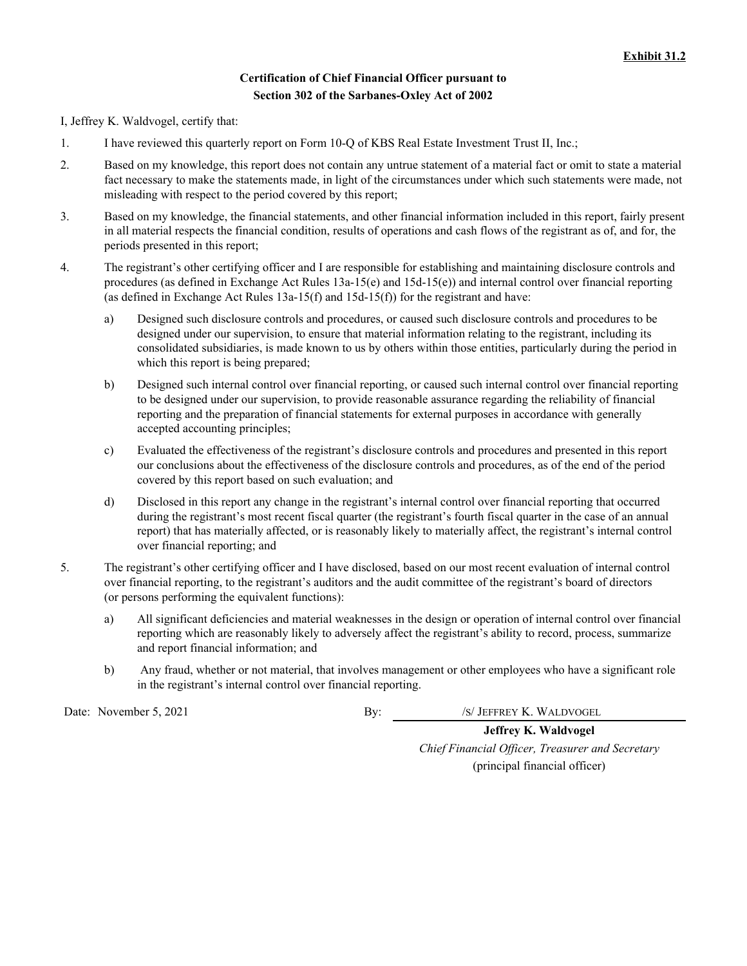## **Certification of Chief Financial Officer pursuant to Section 302 of the Sarbanes-Oxley Act of 2002**

I, Jeffrey K. Waldvogel, certify that:

- 1. I have reviewed this quarterly report on Form 10-Q of KBS Real Estate Investment Trust II, Inc.;
- 2. Based on my knowledge, this report does not contain any untrue statement of a material fact or omit to state a material fact necessary to make the statements made, in light of the circumstances under which such statements were made, not misleading with respect to the period covered by this report;
- 3. Based on my knowledge, the financial statements, and other financial information included in this report, fairly present in all material respects the financial condition, results of operations and cash flows of the registrant as of, and for, the periods presented in this report;
- 4. The registrant's other certifying officer and I are responsible for establishing and maintaining disclosure controls and procedures (as defined in Exchange Act Rules 13a-15(e) and 15d-15(e)) and internal control over financial reporting (as defined in Exchange Act Rules  $13a-15(f)$  and  $15d-15(f)$ ) for the registrant and have:
	- a) Designed such disclosure controls and procedures, or caused such disclosure controls and procedures to be designed under our supervision, to ensure that material information relating to the registrant, including its consolidated subsidiaries, is made known to us by others within those entities, particularly during the period in which this report is being prepared;
	- b) Designed such internal control over financial reporting, or caused such internal control over financial reporting to be designed under our supervision, to provide reasonable assurance regarding the reliability of financial reporting and the preparation of financial statements for external purposes in accordance with generally accepted accounting principles;
	- c) Evaluated the effectiveness of the registrant's disclosure controls and procedures and presented in this report our conclusions about the effectiveness of the disclosure controls and procedures, as of the end of the period covered by this report based on such evaluation; and
	- d) Disclosed in this report any change in the registrant's internal control over financial reporting that occurred during the registrant's most recent fiscal quarter (the registrant's fourth fiscal quarter in the case of an annual report) that has materially affected, or is reasonably likely to materially affect, the registrant's internal control over financial reporting; and
- 5. The registrant's other certifying officer and I have disclosed, based on our most recent evaluation of internal control over financial reporting, to the registrant's auditors and the audit committee of the registrant's board of directors (or persons performing the equivalent functions):
	- a) All significant deficiencies and material weaknesses in the design or operation of internal control over financial reporting which are reasonably likely to adversely affect the registrant's ability to record, process, summarize and report financial information; and
	- b) Any fraud, whether or not material, that involves management or other employees who have a significant role in the registrant's internal control over financial reporting.

Date: November 5, 2021 By: /S/ JEFFREY K. WALDVOGEL

**Jeffrey K. Waldvogel** *Chief Financial Officer, Treasurer and Secretary* (principal financial officer)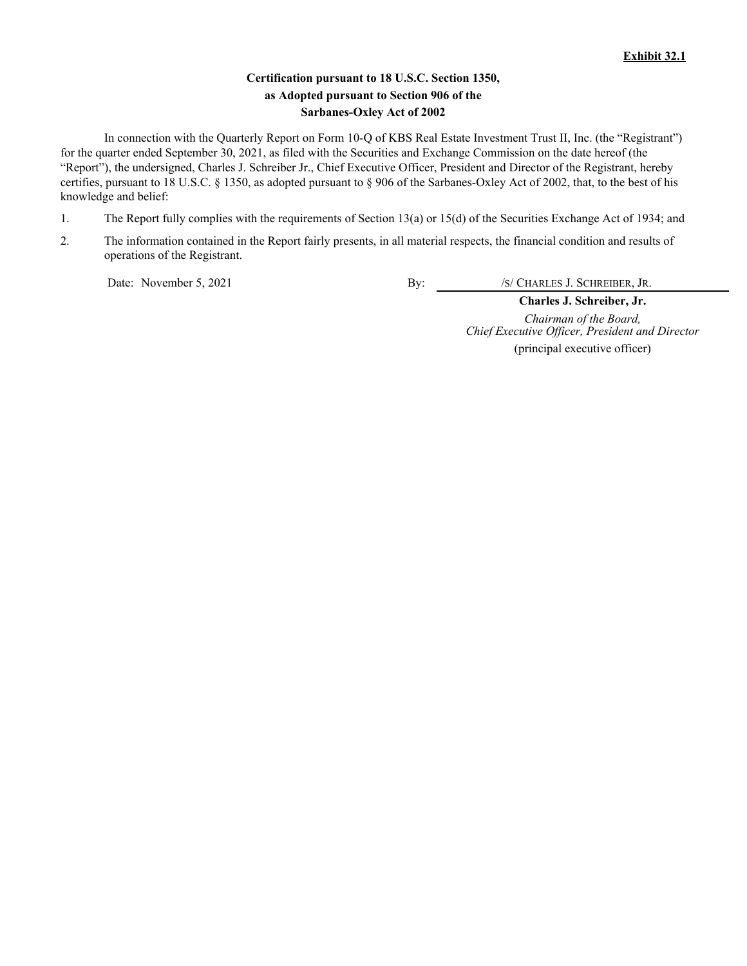## **Certification pursuant to 18 U.S.C. Section 1350, as Adopted pursuant to Section 906 of the Sarbanes-Oxley Act of 2002**

In connection with the Quarterly Report on Form 10-Q of KBS Real Estate Investment Trust II, Inc. (the "Registrant") for the quarter ended September 30, 2021, as filed with the Securities and Exchange Commission on the date hereof (the "Report"), the undersigned, Charles J. Schreiber Jr., Chief Executive Officer, President and Director of the Registrant, hereby certifies, pursuant to 18 U.S.C. § 1350, as adopted pursuant to § 906 of the Sarbanes-Oxley Act of 2002, that, to the best of his knowledge and belief:

- 1. The Report fully complies with the requirements of Section 13(a) or 15(d) of the Securities Exchange Act of 1934; and
- 2. The information contained in the Report fairly presents, in all material respects, the financial condition and results of operations of the Registrant.

Date: November 5, 2021 By: /S/ CHARLES J. SCHREIBER, JR.

**Charles J. Schreiber, Jr.** *Chairman of the Board, Chief Executive Officer, President and Director* (principal executive officer)